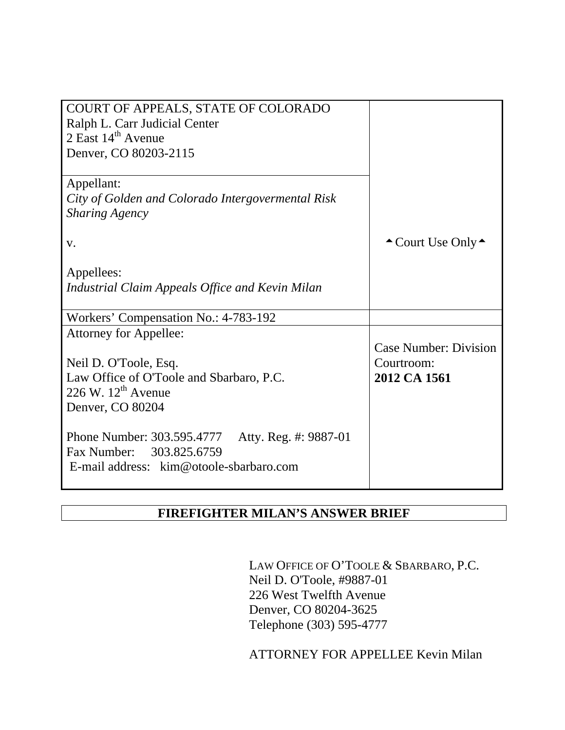| COURT OF APPEALS, STATE OF COLORADO                    |                                        |
|--------------------------------------------------------|----------------------------------------|
| Ralph L. Carr Judicial Center                          |                                        |
| $2$ East $14th$ Avenue                                 |                                        |
| Denver, CO 80203-2115                                  |                                        |
|                                                        |                                        |
| Appellant:                                             |                                        |
| City of Golden and Colorado Intergovermental Risk      |                                        |
| <b>Sharing Agency</b>                                  |                                        |
|                                                        |                                        |
| V.                                                     | $\triangle$ Court Use Only $\triangle$ |
|                                                        |                                        |
| Appellees:                                             |                                        |
| <b>Industrial Claim Appeals Office and Kevin Milan</b> |                                        |
|                                                        |                                        |
| Workers' Compensation No.: 4-783-192                   |                                        |
| <b>Attorney for Appellee:</b>                          |                                        |
|                                                        | <b>Case Number: Division</b>           |
| Neil D. O'Toole, Esq.                                  | Courtroom:                             |
| Law Office of O'Toole and Sbarbaro, P.C.               | 2012 CA 1561                           |
| 226 W. $12^{th}$ Avenue                                |                                        |
| Denver, CO 80204                                       |                                        |
|                                                        |                                        |
| Phone Number: 303.595.4777<br>Atty. Reg. #: 9887-01    |                                        |
| Fax Number: 303.825.6759                               |                                        |
| E-mail address: kim@otoole-sbarbaro.com                |                                        |
|                                                        |                                        |

# **FIREFIGHTER MILAN'S ANSWER BRIEF**

LAW OFFICE OF O'TOOLE & SBARBARO, P.C. Neil D. O'Toole, #9887-01 226 West Twelfth Avenue Denver, CO 80204-3625 Telephone (303) 595-4777

ATTORNEY FOR APPELLEE Kevin Milan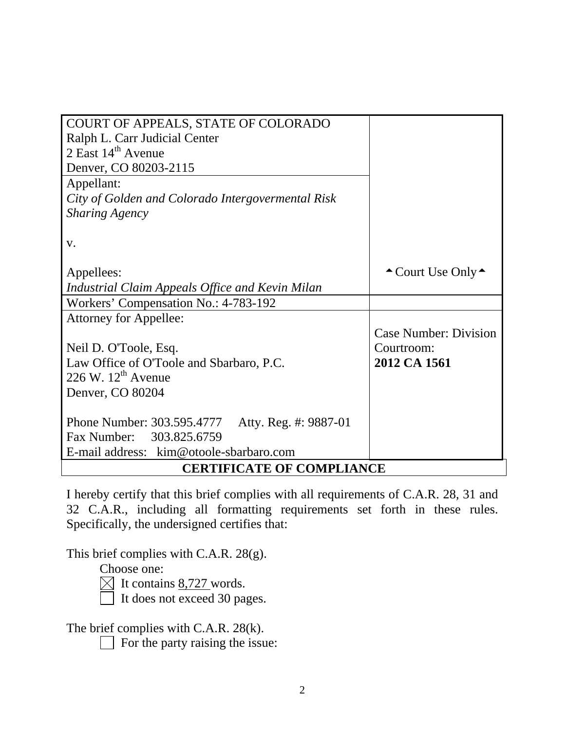| COURT OF APPEALS, STATE OF COLORADO                 |                                        |  |  |  |
|-----------------------------------------------------|----------------------------------------|--|--|--|
| Ralph L. Carr Judicial Center                       |                                        |  |  |  |
| $2$ East $14th$ Avenue                              |                                        |  |  |  |
| Denver, CO 80203-2115                               |                                        |  |  |  |
| Appellant:                                          |                                        |  |  |  |
| City of Golden and Colorado Intergovermental Risk   |                                        |  |  |  |
| <b>Sharing Agency</b>                               |                                        |  |  |  |
|                                                     |                                        |  |  |  |
| V.                                                  |                                        |  |  |  |
|                                                     |                                        |  |  |  |
| Appellees:                                          | $\triangle$ Court Use Only $\triangle$ |  |  |  |
| Industrial Claim Appeals Office and Kevin Milan     |                                        |  |  |  |
| Workers' Compensation No.: 4-783-192                |                                        |  |  |  |
| Attorney for Appellee:                              |                                        |  |  |  |
|                                                     | <b>Case Number: Division</b>           |  |  |  |
| Neil D. O'Toole, Esq.                               | Courtroom:                             |  |  |  |
| Law Office of O'Toole and Sbarbaro, P.C.            | 2012 CA 1561                           |  |  |  |
| 226 W. $12^{th}$ Avenue                             |                                        |  |  |  |
| Denver, CO 80204                                    |                                        |  |  |  |
|                                                     |                                        |  |  |  |
| Phone Number: 303.595.4777<br>Atty. Reg. #: 9887-01 |                                        |  |  |  |
| Fax Number: 303.825.6759                            |                                        |  |  |  |
| E-mail address: kim@otoole-sbarbaro.com             |                                        |  |  |  |
| <b>CERTIFICATE OF COMPLIANCE</b>                    |                                        |  |  |  |

I hereby certify that this brief complies with all requirements of C.A.R. 28, 31 and 32 C.A.R., including all formatting requirements set forth in these rules. Specifically, the undersigned certifies that:

This brief complies with C.A.R. 28(g).

Choose one:

 $\boxtimes$  It contains 8,727 words.

It does not exceed 30 pages.

The brief complies with C.A.R. 28(k).

 $\Box$  For the party raising the issue: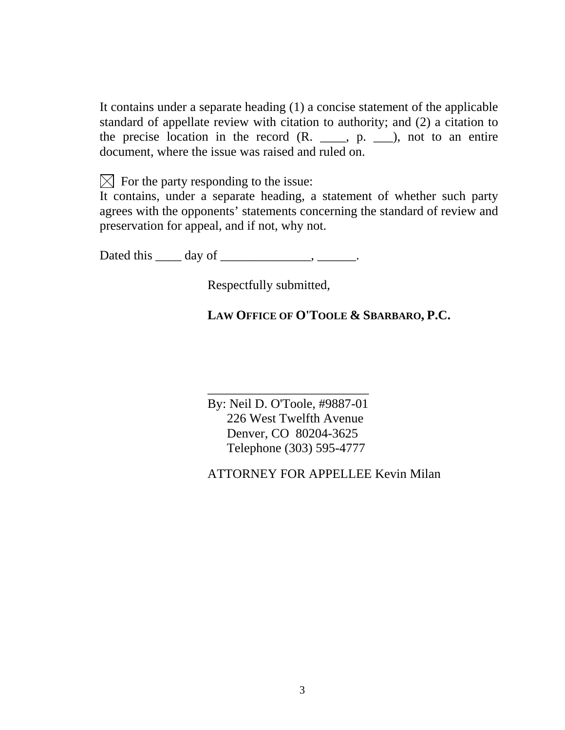It contains under a separate heading (1) a concise statement of the applicable standard of appellate review with citation to authority; and (2) a citation to the precise location in the record  $(R_{\cdot}, \ldots, p_{\cdot}, \ldots)$ , not to an entire document, where the issue was raised and ruled on.

 $\boxtimes$  For the party responding to the issue:

It contains, under a separate heading, a statement of whether such party agrees with the opponents' statements concerning the standard of review and preservation for appeal, and if not, why not.

Dated this \_\_\_\_\_ day of \_\_\_\_\_\_\_\_\_\_\_\_\_\_\_, \_\_\_\_\_\_\_.

Respectfully submitted,

# **LAW OFFICE OF O'TOOLE & SBARBARO, P.C.**

\_\_\_\_\_\_\_\_\_\_\_\_\_\_\_\_\_\_\_\_\_\_\_\_\_ By: Neil D. O'Toole, #9887-01 226 West Twelfth Avenue Denver, CO 80204-3625 Telephone (303) 595-4777

ATTORNEY FOR APPELLEE Kevin Milan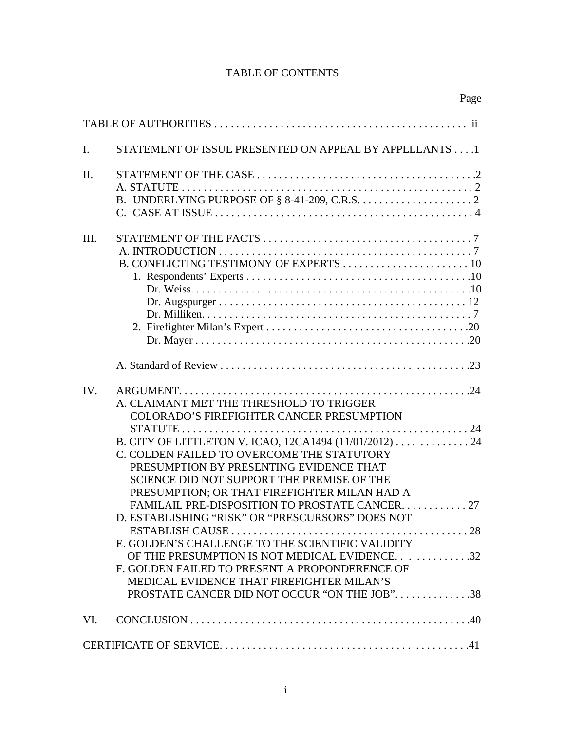### TABLE OF CONTENTS

|                | Page                                                                                                                                                                                                                                                                                                                                                                                                                                                                                                                                                                                                                                                                                                             |
|----------------|------------------------------------------------------------------------------------------------------------------------------------------------------------------------------------------------------------------------------------------------------------------------------------------------------------------------------------------------------------------------------------------------------------------------------------------------------------------------------------------------------------------------------------------------------------------------------------------------------------------------------------------------------------------------------------------------------------------|
|                |                                                                                                                                                                                                                                                                                                                                                                                                                                                                                                                                                                                                                                                                                                                  |
| $\mathbf{I}$ . | STATEMENT OF ISSUE PRESENTED ON APPEAL BY APPELLANTS 1                                                                                                                                                                                                                                                                                                                                                                                                                                                                                                                                                                                                                                                           |
| II.            | C. CASE AT ISSUE $\dots \dots \dots \dots \dots \dots \dots \dots \dots \dots \dots \dots \dots \dots \dots \dots$                                                                                                                                                                                                                                                                                                                                                                                                                                                                                                                                                                                               |
| Ш.             |                                                                                                                                                                                                                                                                                                                                                                                                                                                                                                                                                                                                                                                                                                                  |
| IV.            | A. CLAIMANT MET THE THRESHOLD TO TRIGGER<br><b>COLORADO'S FIREFIGHTER CANCER PRESUMPTION</b><br>B. CITY OF LITTLETON V. ICAO, 12CA1494 (11/01/2012) 24<br>C. COLDEN FAILED TO OVERCOME THE STATUTORY<br>PRESUMPTION BY PRESENTING EVIDENCE THAT<br>SCIENCE DID NOT SUPPORT THE PREMISE OF THE<br>PRESUMPTION; OR THAT FIREFIGHTER MILAN HAD A<br><b>FAMILAIL PRE-DISPOSITION TO PROSTATE CANCER</b><br>27<br>D. ESTABLISHING "RISK" OR "PRESCURSORS" DOES NOT<br>E. GOLDEN'S CHALLENGE TO THE SCIENTIFIC VALIDITY<br>OF THE PRESUMPTION IS NOT MEDICAL EVIDENCE32<br>F. GOLDEN FAILED TO PRESENT A PROPONDERENCE OF<br>MEDICAL EVIDENCE THAT FIREFIGHTER MILAN'S<br>PROSTATE CANCER DID NOT OCCUR "ON THE JOB"38 |
| VI.            |                                                                                                                                                                                                                                                                                                                                                                                                                                                                                                                                                                                                                                                                                                                  |
|                |                                                                                                                                                                                                                                                                                                                                                                                                                                                                                                                                                                                                                                                                                                                  |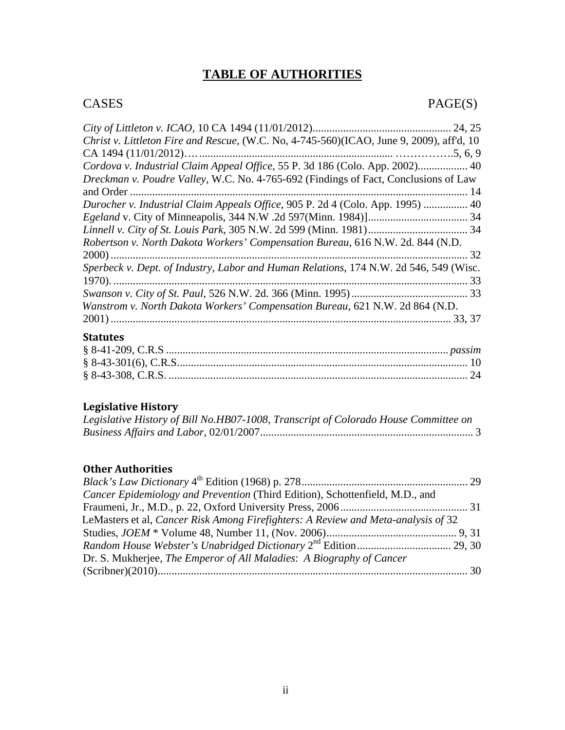# **TABLE OF AUTHORITIES**

# CASES PAGE(S)

| Christ v. Littleton Fire and Rescue, (W.C. No, 4-745-560)(ICAO, June 9, 2009), aff'd, 10   |  |
|--------------------------------------------------------------------------------------------|--|
| CA 1494 $(11/01/2012)$                                                                     |  |
| Cordova v. Industrial Claim Appeal Office, 55 P. 3d 186 (Colo. App. 2002) 40               |  |
| <i>Dreckman v. Poudre Valley, W.C. No. 4-765-692 (Findings of Fact, Conclusions of Law</i> |  |
| -14                                                                                        |  |
| Durocher v. Industrial Claim Appeals Office, 905 P. 2d 4 (Colo. App. 1995)  40             |  |
|                                                                                            |  |
|                                                                                            |  |
| Robertson v. North Dakota Workers' Compensation Bureau, 616 N.W. 2d. 844 (N.D.             |  |
| -32                                                                                        |  |
| Sperbeck v. Dept. of Industry, Labor and Human Relations, 174 N.W. 2d 546, 549 (Wisc.      |  |
| 33                                                                                         |  |
|                                                                                            |  |
| Wanstrom v. North Dakota Workers' Compensation Bureau, 621 N.W. 2d 864 (N.D.               |  |
| 33, 37                                                                                     |  |

## **Statutes**

# **Legislative History**

| Legislative History of Bill No.HB07-1008, Transcript of Colorado House Committee on |  |
|-------------------------------------------------------------------------------------|--|
|                                                                                     |  |

#### **Other Authorities**

| Cancer Epidemiology and Prevention (Third Edition), Schottenfield, M.D., and      |  |
|-----------------------------------------------------------------------------------|--|
|                                                                                   |  |
| LeMasters et al, Cancer Risk Among Firefighters: A Review and Meta-analysis of 32 |  |
|                                                                                   |  |
|                                                                                   |  |
| Dr. S. Mukherjee, The Emperor of All Maladies: A Biography of Cancer              |  |
|                                                                                   |  |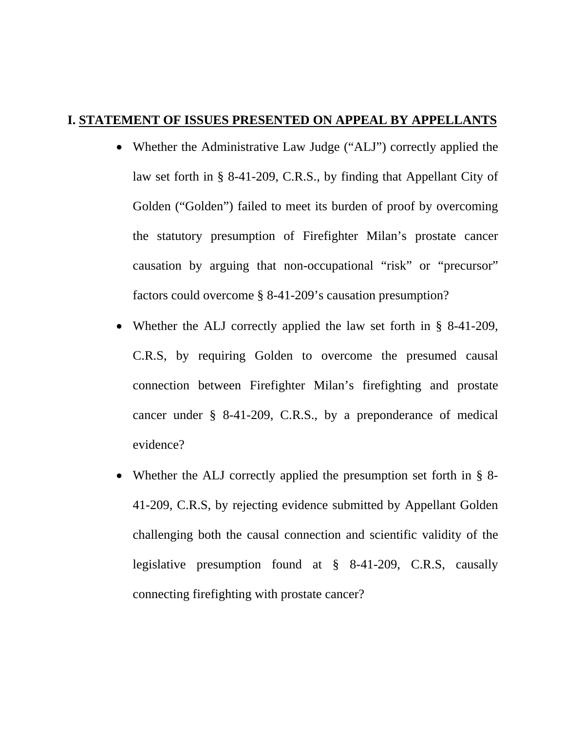## **I. STATEMENT OF ISSUES PRESENTED ON APPEAL BY APPELLANTS**

- Whether the Administrative Law Judge ("ALJ") correctly applied the law set forth in § 8-41-209, C.R.S., by finding that Appellant City of Golden ("Golden") failed to meet its burden of proof by overcoming the statutory presumption of Firefighter Milan's prostate cancer causation by arguing that non-occupational "risk" or "precursor" factors could overcome § 8-41-209's causation presumption?
- Whether the ALJ correctly applied the law set forth in § 8-41-209, C.R.S, by requiring Golden to overcome the presumed causal connection between Firefighter Milan's firefighting and prostate cancer under § 8-41-209, C.R.S., by a preponderance of medical evidence?
- Whether the ALJ correctly applied the presumption set forth in § 8-41-209, C.R.S, by rejecting evidence submitted by Appellant Golden challenging both the causal connection and scientific validity of the legislative presumption found at § 8-41-209, C.R.S, causally connecting firefighting with prostate cancer?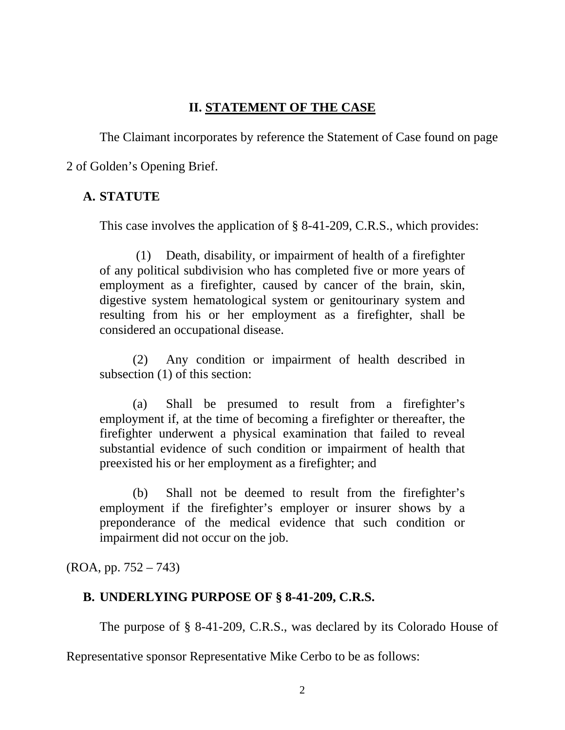## **II. STATEMENT OF THE CASE**

The Claimant incorporates by reference the Statement of Case found on page

2 of Golden's Opening Brief.

# **A. STATUTE**

This case involves the application of § 8-41-209, C.R.S., which provides:

 (1) Death, disability, or impairment of health of a firefighter of any political subdivision who has completed five or more years of employment as a firefighter, caused by cancer of the brain, skin, digestive system hematological system or genitourinary system and resulting from his or her employment as a firefighter, shall be considered an occupational disease.

(2) Any condition or impairment of health described in subsection (1) of this section:

(a) Shall be presumed to result from a firefighter's employment if, at the time of becoming a firefighter or thereafter, the firefighter underwent a physical examination that failed to reveal substantial evidence of such condition or impairment of health that preexisted his or her employment as a firefighter; and

(b) Shall not be deemed to result from the firefighter's employment if the firefighter's employer or insurer shows by a preponderance of the medical evidence that such condition or impairment did not occur on the job.

(ROA, pp. 752 – 743)

# **B. UNDERLYING PURPOSE OF § 8-41-209, C.R.S.**

The purpose of § 8-41-209, C.R.S., was declared by its Colorado House of

Representative sponsor Representative Mike Cerbo to be as follows: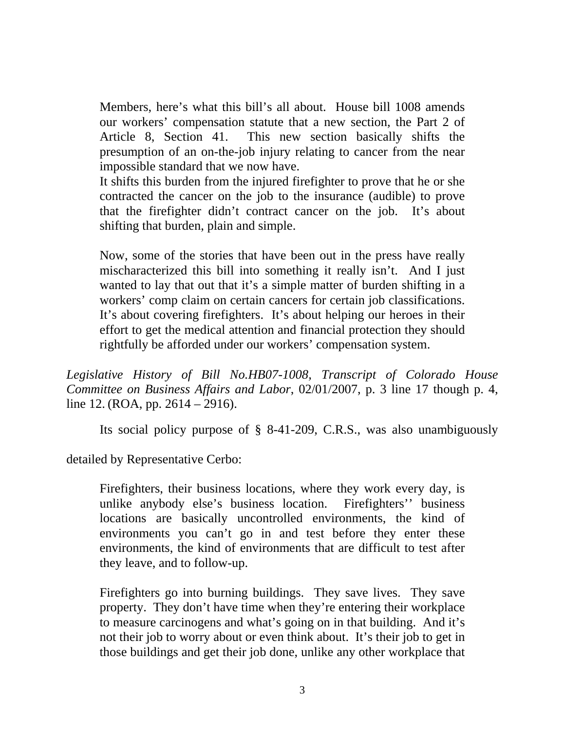Members, here's what this bill's all about. House bill 1008 amends our workers' compensation statute that a new section, the Part 2 of Article 8, Section 41. This new section basically shifts the presumption of an on-the-job injury relating to cancer from the near impossible standard that we now have.

It shifts this burden from the injured firefighter to prove that he or she contracted the cancer on the job to the insurance (audible) to prove that the firefighter didn't contract cancer on the job. It's about shifting that burden, plain and simple.

Now, some of the stories that have been out in the press have really mischaracterized this bill into something it really isn't. And I just wanted to lay that out that it's a simple matter of burden shifting in a workers' comp claim on certain cancers for certain job classifications. It's about covering firefighters. It's about helping our heroes in their effort to get the medical attention and financial protection they should rightfully be afforded under our workers' compensation system.

*Legislative History of Bill No.HB07-1008, Transcript of Colorado House Committee on Business Affairs and Labor*, 02/01/2007, p. 3 line 17 though p. 4, line 12. (ROA, pp. 2614 – 2916).

Its social policy purpose of § 8-41-209, C.R.S., was also unambiguously

detailed by Representative Cerbo:

Firefighters, their business locations, where they work every day, is unlike anybody else's business location. Firefighters'' business locations are basically uncontrolled environments, the kind of environments you can't go in and test before they enter these environments, the kind of environments that are difficult to test after they leave, and to follow-up.

Firefighters go into burning buildings. They save lives. They save property. They don't have time when they're entering their workplace to measure carcinogens and what's going on in that building. And it's not their job to worry about or even think about. It's their job to get in those buildings and get their job done, unlike any other workplace that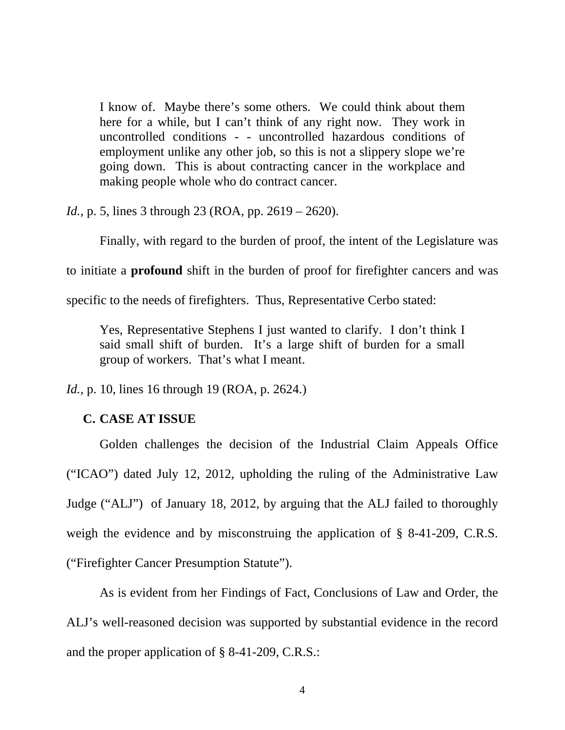I know of. Maybe there's some others. We could think about them here for a while, but I can't think of any right now. They work in uncontrolled conditions - - uncontrolled hazardous conditions of employment unlike any other job, so this is not a slippery slope we're going down. This is about contracting cancer in the workplace and making people whole who do contract cancer.

*Id.*, p. 5, lines 3 through 23 (ROA, pp. 2619 – 2620).

Finally, with regard to the burden of proof, the intent of the Legislature was

to initiate a **profound** shift in the burden of proof for firefighter cancers and was

specific to the needs of firefighters. Thus, Representative Cerbo stated:

Yes, Representative Stephens I just wanted to clarify. I don't think I said small shift of burden. It's a large shift of burden for a small group of workers. That's what I meant.

*Id.*, p. 10, lines 16 through 19 (ROA, p. 2624.)

#### **C. CASE AT ISSUE**

Golden challenges the decision of the Industrial Claim Appeals Office ("ICAO") dated July 12, 2012, upholding the ruling of the Administrative Law Judge ("ALJ") of January 18, 2012, by arguing that the ALJ failed to thoroughly weigh the evidence and by misconstruing the application of § 8-41-209, C.R.S. ("Firefighter Cancer Presumption Statute").

As is evident from her Findings of Fact, Conclusions of Law and Order, the ALJ's well-reasoned decision was supported by substantial evidence in the record and the proper application of § 8-41-209, C.R.S.: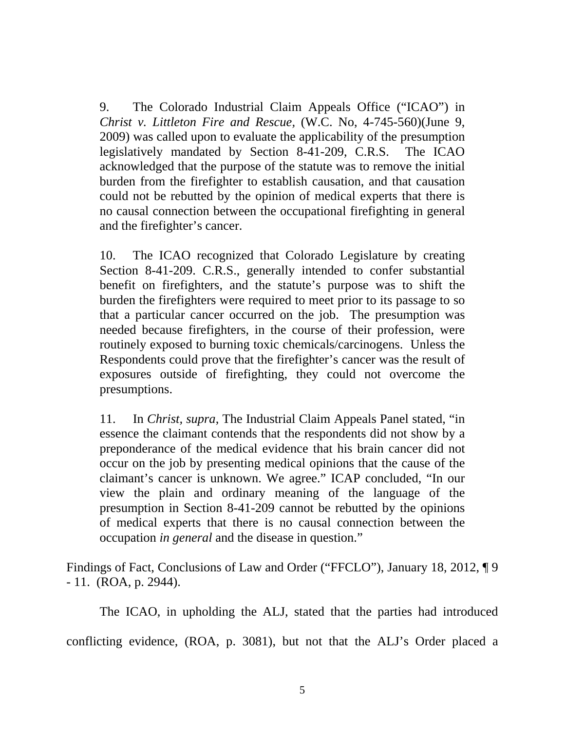9. The Colorado Industrial Claim Appeals Office ("ICAO") in *Christ v. Littleton Fire and Rescue,* (W.C. No, 4-745-560)(June 9, 2009) was called upon to evaluate the applicability of the presumption legislatively mandated by Section 8-41-209, C.R.S. The ICAO acknowledged that the purpose of the statute was to remove the initial burden from the firefighter to establish causation, and that causation could not be rebutted by the opinion of medical experts that there is no causal connection between the occupational firefighting in general and the firefighter's cancer.

10. The ICAO recognized that Colorado Legislature by creating Section 8-41-209. C.R.S., generally intended to confer substantial benefit on firefighters, and the statute's purpose was to shift the burden the firefighters were required to meet prior to its passage to so that a particular cancer occurred on the job. The presumption was needed because firefighters, in the course of their profession, were routinely exposed to burning toxic chemicals/carcinogens. Unless the Respondents could prove that the firefighter's cancer was the result of exposures outside of firefighting, they could not overcome the presumptions.

11. In *Christ, supra*, The Industrial Claim Appeals Panel stated, "in essence the claimant contends that the respondents did not show by a preponderance of the medical evidence that his brain cancer did not occur on the job by presenting medical opinions that the cause of the claimant's cancer is unknown. We agree." ICAP concluded, "In our view the plain and ordinary meaning of the language of the presumption in Section 8-41-209 cannot be rebutted by the opinions of medical experts that there is no causal connection between the occupation *in general* and the disease in question."

Findings of Fact, Conclusions of Law and Order ("FFCLO"), January 18, 2012, ¶ 9 - 11. (ROA, p. 2944).

The ICAO, in upholding the ALJ, stated that the parties had introduced

conflicting evidence, (ROA, p. 3081), but not that the ALJ's Order placed a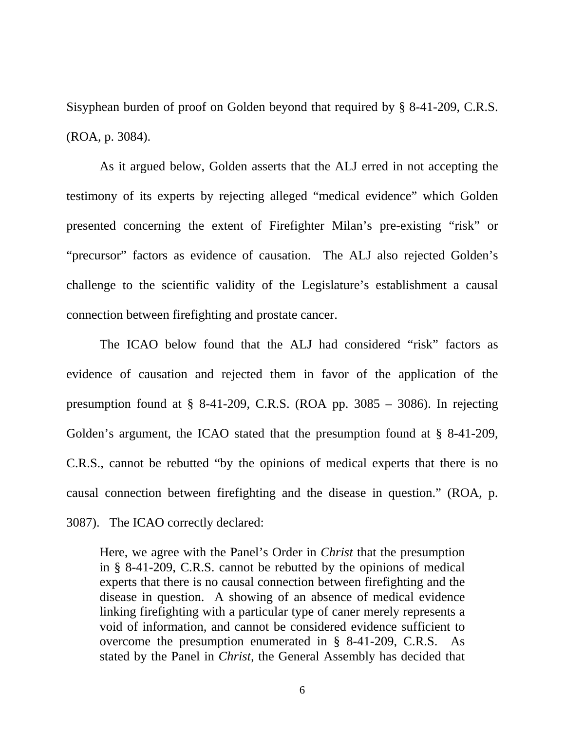Sisyphean burden of proof on Golden beyond that required by § 8-41-209, C.R.S. (ROA, p. 3084).

 As it argued below, Golden asserts that the ALJ erred in not accepting the testimony of its experts by rejecting alleged "medical evidence" which Golden presented concerning the extent of Firefighter Milan's pre-existing "risk" or "precursor" factors as evidence of causation. The ALJ also rejected Golden's challenge to the scientific validity of the Legislature's establishment a causal connection between firefighting and prostate cancer.

 The ICAO below found that the ALJ had considered "risk" factors as evidence of causation and rejected them in favor of the application of the presumption found at  $\S$  8-41-209, C.R.S. (ROA pp. 3085 – 3086). In rejecting Golden's argument, the ICAO stated that the presumption found at § 8-41-209, C.R.S., cannot be rebutted "by the opinions of medical experts that there is no causal connection between firefighting and the disease in question." (ROA, p. 3087). The ICAO correctly declared:

Here, we agree with the Panel's Order in *Christ* that the presumption in § 8-41-209, C.R.S. cannot be rebutted by the opinions of medical experts that there is no causal connection between firefighting and the disease in question. A showing of an absence of medical evidence linking firefighting with a particular type of caner merely represents a void of information, and cannot be considered evidence sufficient to overcome the presumption enumerated in § 8-41-209, C.R.S. As stated by the Panel in *Christ,* the General Assembly has decided that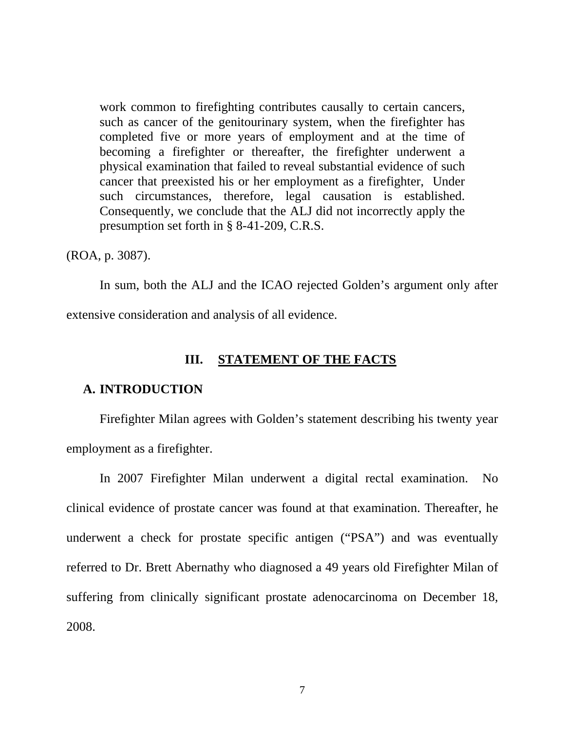work common to firefighting contributes causally to certain cancers, such as cancer of the genitourinary system, when the firefighter has completed five or more years of employment and at the time of becoming a firefighter or thereafter, the firefighter underwent a physical examination that failed to reveal substantial evidence of such cancer that preexisted his or her employment as a firefighter, Under such circumstances, therefore, legal causation is established. Consequently, we conclude that the ALJ did not incorrectly apply the presumption set forth in § 8-41-209, C.R.S.

(ROA, p. 3087).

In sum, both the ALJ and the ICAO rejected Golden's argument only after extensive consideration and analysis of all evidence.

#### **III. STATEMENT OF THE FACTS**

#### **A. INTRODUCTION**

Firefighter Milan agrees with Golden's statement describing his twenty year employment as a firefighter.

In 2007 Firefighter Milan underwent a digital rectal examination. No clinical evidence of prostate cancer was found at that examination. Thereafter, he underwent a check for prostate specific antigen ("PSA") and was eventually referred to Dr. Brett Abernathy who diagnosed a 49 years old Firefighter Milan of suffering from clinically significant prostate adenocarcinoma on December 18, 2008.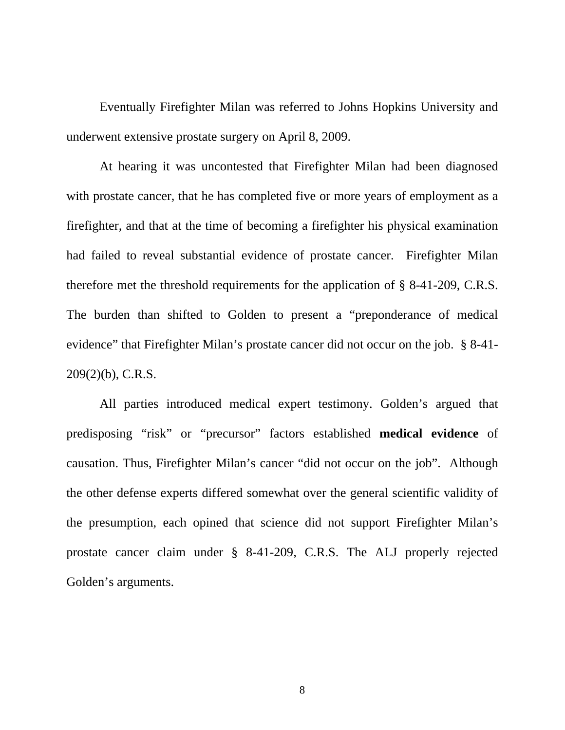Eventually Firefighter Milan was referred to Johns Hopkins University and underwent extensive prostate surgery on April 8, 2009.

At hearing it was uncontested that Firefighter Milan had been diagnosed with prostate cancer, that he has completed five or more years of employment as a firefighter, and that at the time of becoming a firefighter his physical examination had failed to reveal substantial evidence of prostate cancer. Firefighter Milan therefore met the threshold requirements for the application of § 8-41-209, C.R.S. The burden than shifted to Golden to present a "preponderance of medical evidence" that Firefighter Milan's prostate cancer did not occur on the job. § 8-41- 209(2)(b), C.R.S.

All parties introduced medical expert testimony. Golden's argued that predisposing "risk" or "precursor" factors established **medical evidence** of causation. Thus, Firefighter Milan's cancer "did not occur on the job". Although the other defense experts differed somewhat over the general scientific validity of the presumption, each opined that science did not support Firefighter Milan's prostate cancer claim under § 8-41-209, C.R.S. The ALJ properly rejected Golden's arguments.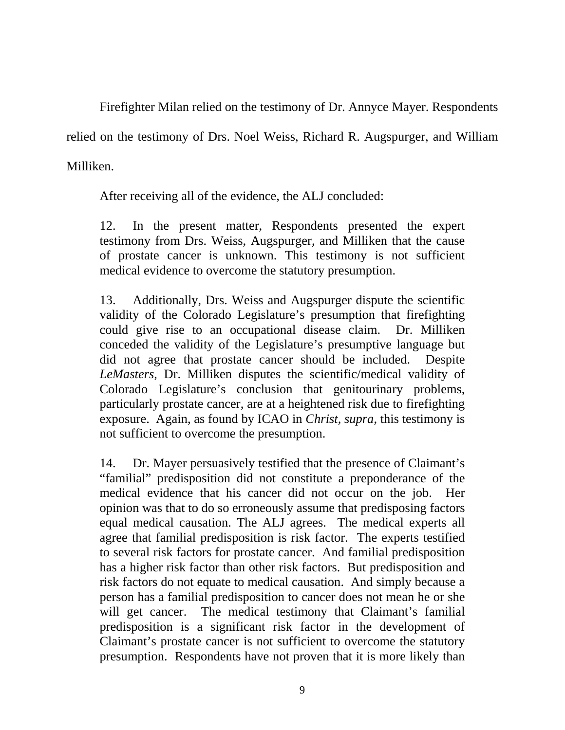Firefighter Milan relied on the testimony of Dr. Annyce Mayer. Respondents

relied on the testimony of Drs. Noel Weiss, Richard R. Augspurger, and William

Milliken.

After receiving all of the evidence, the ALJ concluded:

12. In the present matter, Respondents presented the expert testimony from Drs. Weiss, Augspurger, and Milliken that the cause of prostate cancer is unknown. This testimony is not sufficient medical evidence to overcome the statutory presumption.

13. Additionally, Drs. Weiss and Augspurger dispute the scientific validity of the Colorado Legislature's presumption that firefighting could give rise to an occupational disease claim. Dr. Milliken conceded the validity of the Legislature's presumptive language but did not agree that prostate cancer should be included. Despite *LeMasters*, Dr. Milliken disputes the scientific/medical validity of Colorado Legislature's conclusion that genitourinary problems, particularly prostate cancer, are at a heightened risk due to firefighting exposure. Again, as found by ICAO in *Christ, supra*, this testimony is not sufficient to overcome the presumption.

14. Dr. Mayer persuasively testified that the presence of Claimant's "familial" predisposition did not constitute a preponderance of the medical evidence that his cancer did not occur on the job. Her opinion was that to do so erroneously assume that predisposing factors equal medical causation. The ALJ agrees. The medical experts all agree that familial predisposition is risk factor. The experts testified to several risk factors for prostate cancer. And familial predisposition has a higher risk factor than other risk factors. But predisposition and risk factors do not equate to medical causation. And simply because a person has a familial predisposition to cancer does not mean he or she will get cancer. The medical testimony that Claimant's familial predisposition is a significant risk factor in the development of Claimant's prostate cancer is not sufficient to overcome the statutory presumption. Respondents have not proven that it is more likely than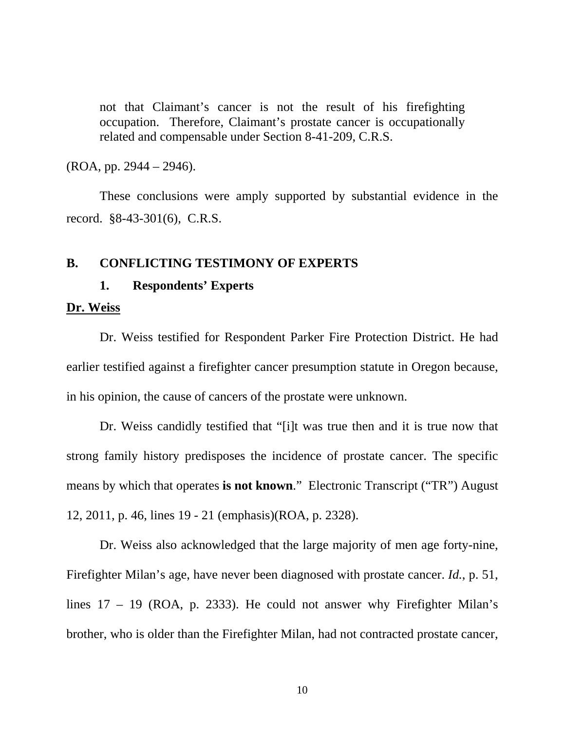not that Claimant's cancer is not the result of his firefighting occupation. Therefore, Claimant's prostate cancer is occupationally related and compensable under Section 8-41-209, C.R.S.

(ROA, pp. 2944 – 2946).

 These conclusions were amply supported by substantial evidence in the record. §8-43-301(6), C.R.S.

#### **B. CONFLICTING TESTIMONY OF EXPERTS**

#### **1. Respondents' Experts**

#### **Dr. Weiss**

Dr. Weiss testified for Respondent Parker Fire Protection District. He had earlier testified against a firefighter cancer presumption statute in Oregon because, in his opinion, the cause of cancers of the prostate were unknown.

Dr. Weiss candidly testified that "[i]t was true then and it is true now that strong family history predisposes the incidence of prostate cancer. The specific means by which that operates **is not known**." Electronic Transcript ("TR") August 12, 2011, p. 46, lines 19 - 21 (emphasis)(ROA, p. 2328).

Dr. Weiss also acknowledged that the large majority of men age forty-nine, Firefighter Milan's age, have never been diagnosed with prostate cancer. *Id.*, p. 51, lines 17 – 19 (ROA, p. 2333). He could not answer why Firefighter Milan's brother, who is older than the Firefighter Milan, had not contracted prostate cancer,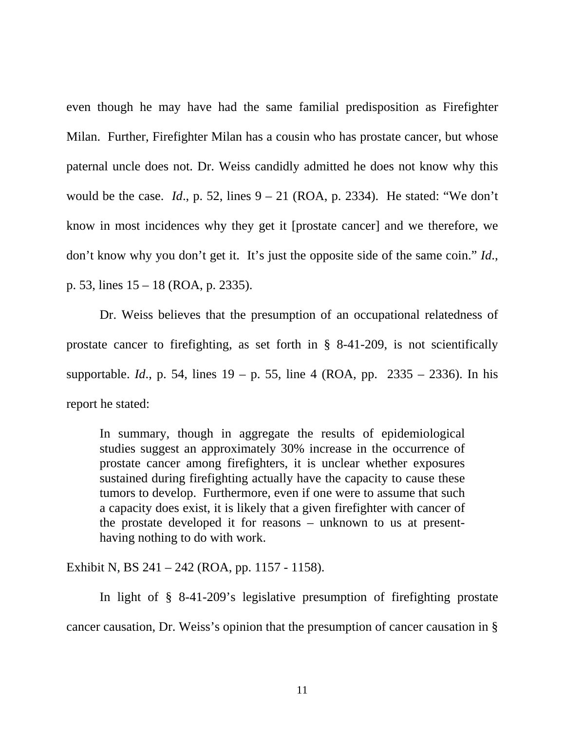even though he may have had the same familial predisposition as Firefighter Milan. Further, Firefighter Milan has a cousin who has prostate cancer, but whose paternal uncle does not. Dr. Weiss candidly admitted he does not know why this would be the case. *Id.*, p. 52, lines  $9 - 21$  (ROA, p. 2334). He stated: "We don't know in most incidences why they get it [prostate cancer] and we therefore, we don't know why you don't get it. It's just the opposite side of the same coin." *Id*., p. 53, lines 15 – 18 (ROA, p. 2335).

Dr. Weiss believes that the presumption of an occupational relatedness of prostate cancer to firefighting, as set forth in § 8-41-209, is not scientifically supportable. *Id*., p. 54, lines 19 – p. 55, line 4 (ROA, pp. 2335 – 2336). In his report he stated:

In summary, though in aggregate the results of epidemiological studies suggest an approximately 30% increase in the occurrence of prostate cancer among firefighters, it is unclear whether exposures sustained during firefighting actually have the capacity to cause these tumors to develop. Furthermore, even if one were to assume that such a capacity does exist, it is likely that a given firefighter with cancer of the prostate developed it for reasons – unknown to us at presenthaving nothing to do with work.

Exhibit N, BS 241 – 242 (ROA, pp. 1157 - 1158).

In light of § 8-41-209's legislative presumption of firefighting prostate cancer causation, Dr. Weiss's opinion that the presumption of cancer causation in §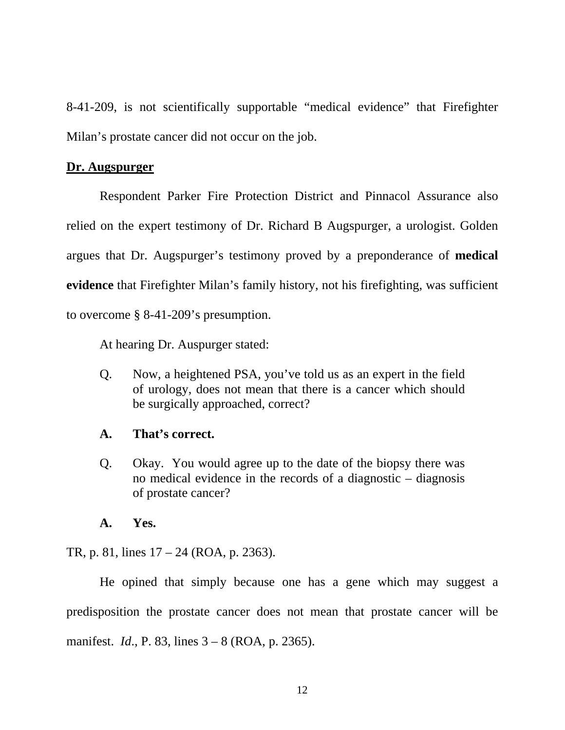8-41-209, is not scientifically supportable "medical evidence" that Firefighter Milan's prostate cancer did not occur on the job.

#### **Dr. Augspurger**

Respondent Parker Fire Protection District and Pinnacol Assurance also relied on the expert testimony of Dr. Richard B Augspurger, a urologist. Golden argues that Dr. Augspurger's testimony proved by a preponderance of **medical evidence** that Firefighter Milan's family history, not his firefighting, was sufficient to overcome § 8-41-209's presumption.

At hearing Dr. Auspurger stated:

Q. Now, a heightened PSA, you've told us as an expert in the field of urology, does not mean that there is a cancer which should be surgically approached, correct?

#### **A. That's correct.**

Q. Okay. You would agree up to the date of the biopsy there was no medical evidence in the records of a diagnostic – diagnosis of prostate cancer?

#### **A. Yes.**

TR, p. 81, lines 17 – 24 (ROA, p. 2363).

He opined that simply because one has a gene which may suggest a predisposition the prostate cancer does not mean that prostate cancer will be manifest. *Id*., P. 83, lines 3 – 8 (ROA, p. 2365).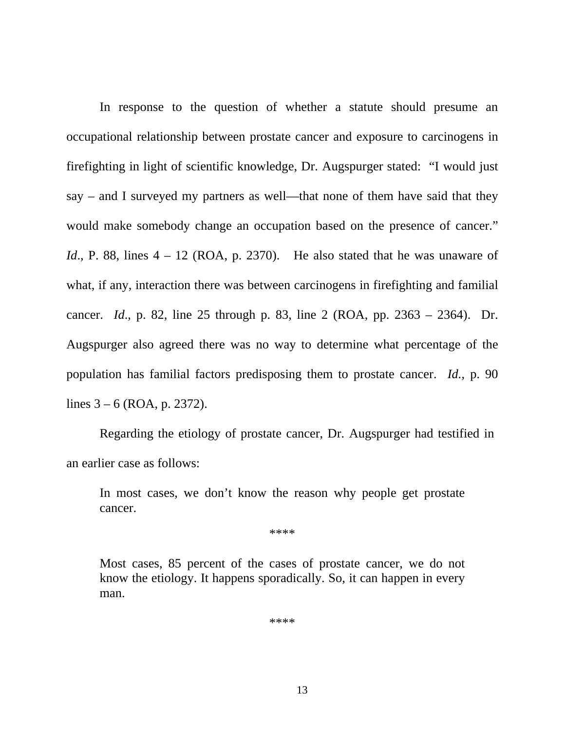In response to the question of whether a statute should presume an occupational relationship between prostate cancer and exposure to carcinogens in firefighting in light of scientific knowledge, Dr. Augspurger stated: "I would just say – and I surveyed my partners as well—that none of them have said that they would make somebody change an occupation based on the presence of cancer." *Id.*, P. 88, lines  $4 - 12$  (ROA, p. 2370). He also stated that he was unaware of what, if any, interaction there was between carcinogens in firefighting and familial cancer. *Id*., p. 82, line 25 through p. 83, line 2 (ROA, pp. 2363 – 2364). Dr. Augspurger also agreed there was no way to determine what percentage of the population has familial factors predisposing them to prostate cancer. *Id.*, p. 90 lines 3 – 6 (ROA, p. 2372).

Regarding the etiology of prostate cancer, Dr. Augspurger had testified in an earlier case as follows:

In most cases, we don't know the reason why people get prostate cancer.

\*\*\*\*

Most cases, 85 percent of the cases of prostate cancer, we do not know the etiology. It happens sporadically. So, it can happen in every man.

\*\*\*\*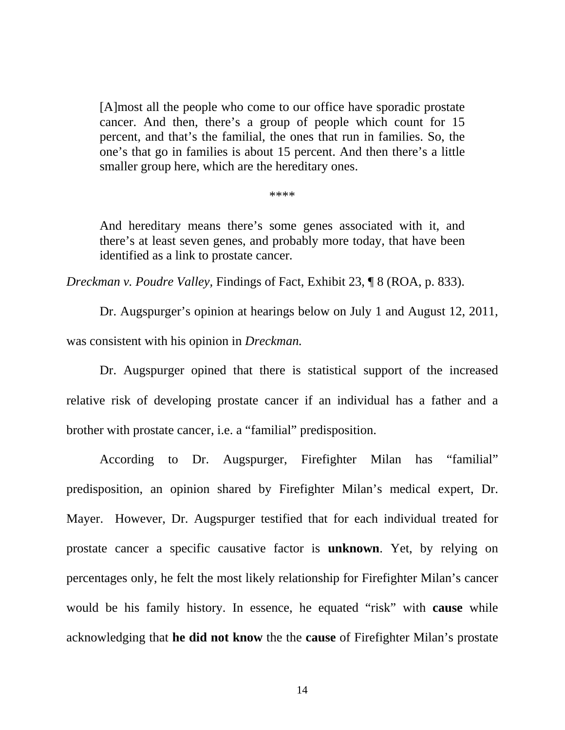[A]most all the people who come to our office have sporadic prostate cancer. And then, there's a group of people which count for 15 percent, and that's the familial, the ones that run in families. So, the one's that go in families is about 15 percent. And then there's a little smaller group here, which are the hereditary ones.

\*\*\*\*

And hereditary means there's some genes associated with it, and there's at least seven genes, and probably more today, that have been identified as a link to prostate cancer*.* 

*Dreckman v. Poudre Valley,* Findings of Fact, Exhibit 23, ¶ 8 (ROA, p. 833).

 Dr. Augspurger's opinion at hearings below on July 1 and August 12, 2011, was consistent with his opinion in *Dreckman.*

Dr. Augspurger opined that there is statistical support of the increased relative risk of developing prostate cancer if an individual has a father and a brother with prostate cancer, i.e. a "familial" predisposition.

According to Dr. Augspurger, Firefighter Milan has "familial" predisposition, an opinion shared by Firefighter Milan's medical expert, Dr. Mayer. However, Dr. Augspurger testified that for each individual treated for prostate cancer a specific causative factor is **unknown**. Yet, by relying on percentages only, he felt the most likely relationship for Firefighter Milan's cancer would be his family history. In essence, he equated "risk" with **cause** while acknowledging that **he did not know** the the **cause** of Firefighter Milan's prostate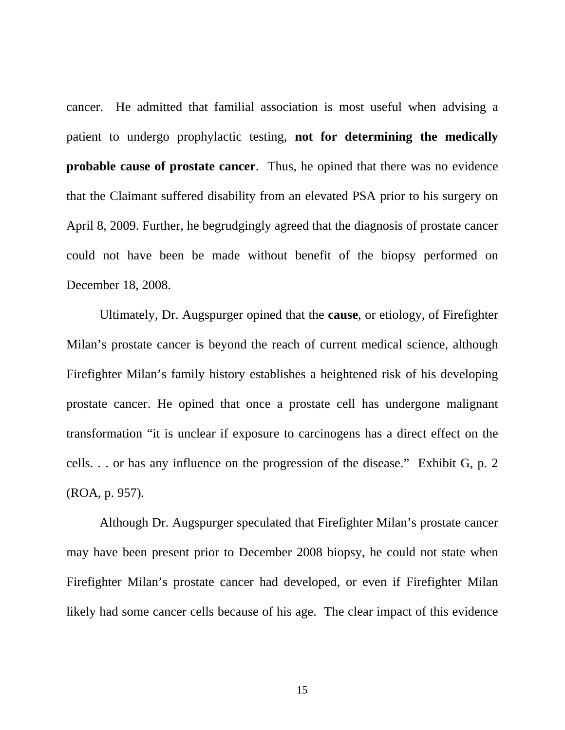cancer. He admitted that familial association is most useful when advising a patient to undergo prophylactic testing, **not for determining the medically probable cause of prostate cancer**. Thus, he opined that there was no evidence that the Claimant suffered disability from an elevated PSA prior to his surgery on April 8, 2009. Further, he begrudgingly agreed that the diagnosis of prostate cancer could not have been be made without benefit of the biopsy performed on December 18, 2008.

Ultimately, Dr. Augspurger opined that the **cause**, or etiology, of Firefighter Milan's prostate cancer is beyond the reach of current medical science, although Firefighter Milan's family history establishes a heightened risk of his developing prostate cancer. He opined that once a prostate cell has undergone malignant transformation "it is unclear if exposure to carcinogens has a direct effect on the cells. . . or has any influence on the progression of the disease." Exhibit G, p. 2 (ROA, p. 957)*.*

Although Dr. Augspurger speculated that Firefighter Milan's prostate cancer may have been present prior to December 2008 biopsy, he could not state when Firefighter Milan's prostate cancer had developed, or even if Firefighter Milan likely had some cancer cells because of his age. The clear impact of this evidence

15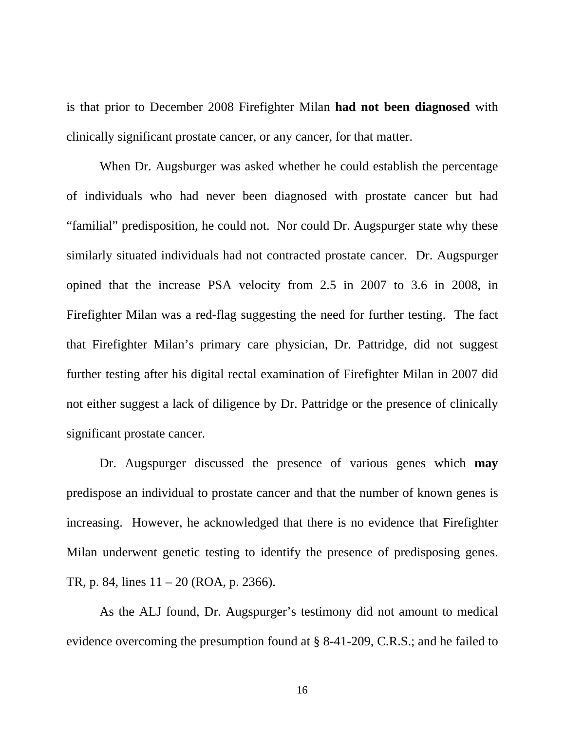is that prior to December 2008 Firefighter Milan **had not been diagnosed** with clinically significant prostate cancer, or any cancer, for that matter.

When Dr. Augsburger was asked whether he could establish the percentage of individuals who had never been diagnosed with prostate cancer but had "familial" predisposition, he could not. Nor could Dr. Augspurger state why these similarly situated individuals had not contracted prostate cancer. Dr. Augspurger opined that the increase PSA velocity from 2.5 in 2007 to 3.6 in 2008, in Firefighter Milan was a red-flag suggesting the need for further testing. The fact that Firefighter Milan's primary care physician, Dr. Pattridge, did not suggest further testing after his digital rectal examination of Firefighter Milan in 2007 did not either suggest a lack of diligence by Dr. Pattridge or the presence of clinically significant prostate cancer.

Dr. Augspurger discussed the presence of various genes which **may** predispose an individual to prostate cancer and that the number of known genes is increasing. However, he acknowledged that there is no evidence that Firefighter Milan underwent genetic testing to identify the presence of predisposing genes. TR, p. 84, lines 11 – 20 (ROA, p. 2366).

As the ALJ found, Dr. Augspurger's testimony did not amount to medical evidence overcoming the presumption found at § 8-41-209, C.R.S.; and he failed to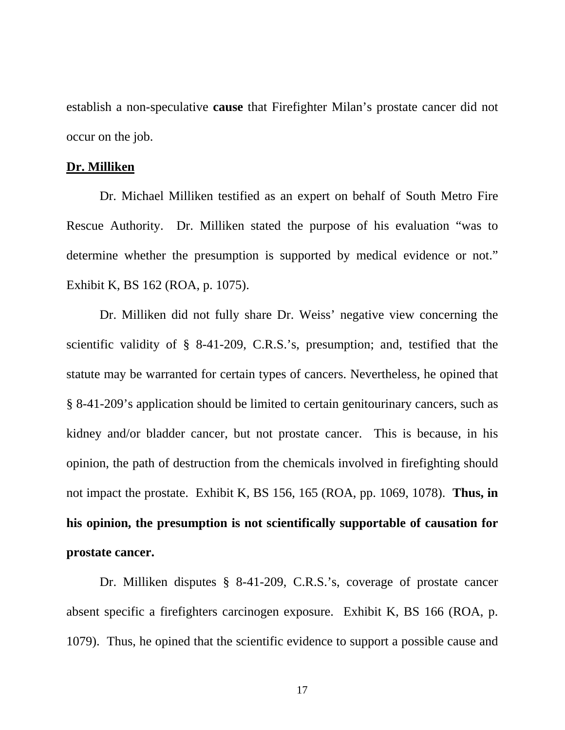establish a non-speculative **cause** that Firefighter Milan's prostate cancer did not occur on the job.

#### **Dr. Milliken**

 Dr. Michael Milliken testified as an expert on behalf of South Metro Fire Rescue Authority. Dr. Milliken stated the purpose of his evaluation "was to determine whether the presumption is supported by medical evidence or not." Exhibit K, BS 162 (ROA, p. 1075).

Dr. Milliken did not fully share Dr. Weiss' negative view concerning the scientific validity of § 8-41-209, C.R.S.'s, presumption; and, testified that the statute may be warranted for certain types of cancers. Nevertheless, he opined that § 8-41-209's application should be limited to certain genitourinary cancers, such as kidney and/or bladder cancer, but not prostate cancer. This is because, in his opinion, the path of destruction from the chemicals involved in firefighting should not impact the prostate. Exhibit K, BS 156, 165 (ROA, pp. 1069, 1078). **Thus, in his opinion, the presumption is not scientifically supportable of causation for prostate cancer.** 

Dr. Milliken disputes § 8-41-209, C.R.S.'s, coverage of prostate cancer absent specific a firefighters carcinogen exposure. Exhibit K, BS 166 (ROA, p. 1079). Thus, he opined that the scientific evidence to support a possible cause and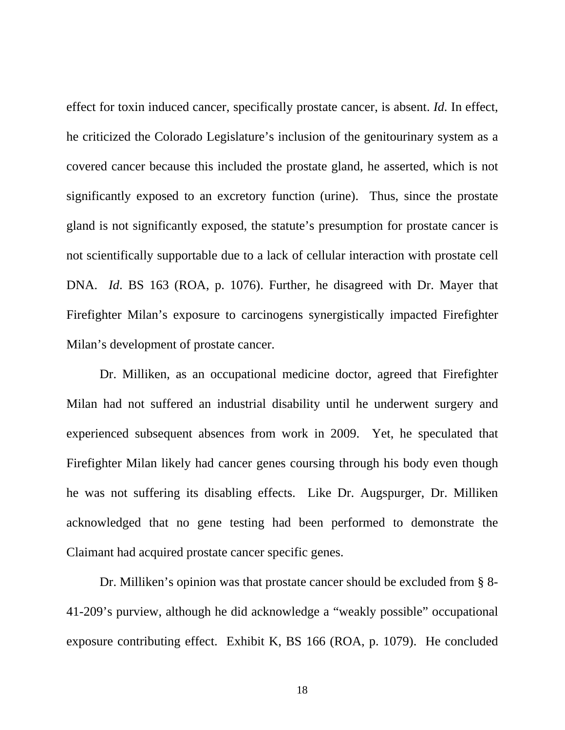effect for toxin induced cancer, specifically prostate cancer, is absent. *Id.* In effect, he criticized the Colorado Legislature's inclusion of the genitourinary system as a covered cancer because this included the prostate gland, he asserted, which is not significantly exposed to an excretory function (urine). Thus, since the prostate gland is not significantly exposed, the statute's presumption for prostate cancer is not scientifically supportable due to a lack of cellular interaction with prostate cell DNA. *Id*. BS 163 (ROA, p. 1076). Further, he disagreed with Dr. Mayer that Firefighter Milan's exposure to carcinogens synergistically impacted Firefighter Milan's development of prostate cancer.

Dr. Milliken, as an occupational medicine doctor, agreed that Firefighter Milan had not suffered an industrial disability until he underwent surgery and experienced subsequent absences from work in 2009. Yet, he speculated that Firefighter Milan likely had cancer genes coursing through his body even though he was not suffering its disabling effects. Like Dr. Augspurger, Dr. Milliken acknowledged that no gene testing had been performed to demonstrate the Claimant had acquired prostate cancer specific genes.

Dr. Milliken's opinion was that prostate cancer should be excluded from § 8- 41-209's purview, although he did acknowledge a "weakly possible" occupational exposure contributing effect. Exhibit K, BS 166 (ROA, p. 1079). He concluded

18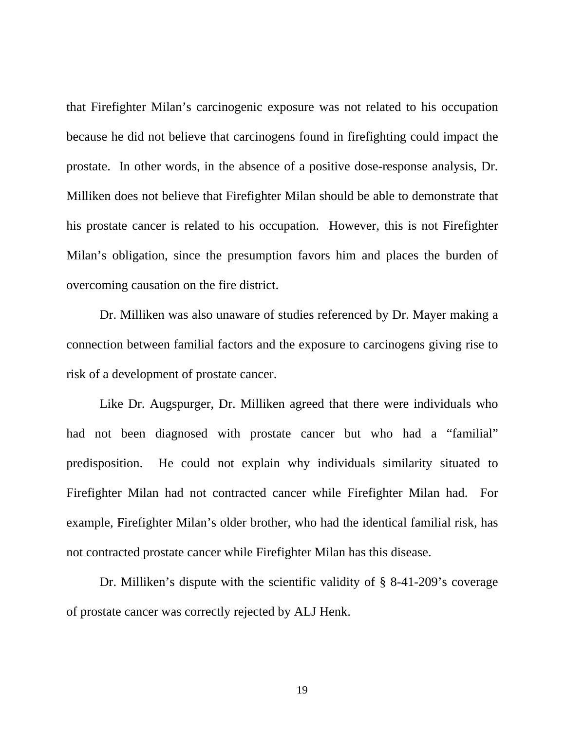that Firefighter Milan's carcinogenic exposure was not related to his occupation because he did not believe that carcinogens found in firefighting could impact the prostate. In other words, in the absence of a positive dose-response analysis, Dr. Milliken does not believe that Firefighter Milan should be able to demonstrate that his prostate cancer is related to his occupation. However, this is not Firefighter Milan's obligation, since the presumption favors him and places the burden of overcoming causation on the fire district.

Dr. Milliken was also unaware of studies referenced by Dr. Mayer making a connection between familial factors and the exposure to carcinogens giving rise to risk of a development of prostate cancer.

Like Dr. Augspurger, Dr. Milliken agreed that there were individuals who had not been diagnosed with prostate cancer but who had a "familial" predisposition. He could not explain why individuals similarity situated to Firefighter Milan had not contracted cancer while Firefighter Milan had. For example, Firefighter Milan's older brother, who had the identical familial risk, has not contracted prostate cancer while Firefighter Milan has this disease.

Dr. Milliken's dispute with the scientific validity of § 8-41-209's coverage of prostate cancer was correctly rejected by ALJ Henk.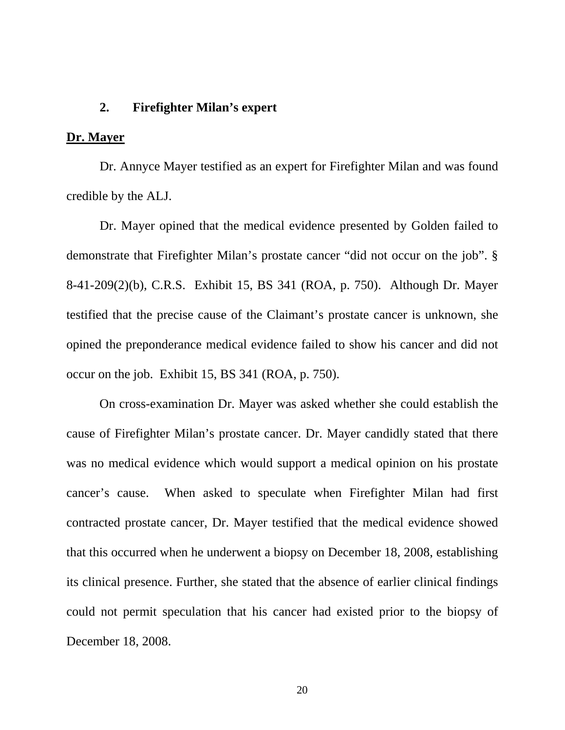#### **2. Firefighter Milan's expert**

#### **Dr. Mayer**

 Dr. Annyce Mayer testified as an expert for Firefighter Milan and was found credible by the ALJ.

 Dr. Mayer opined that the medical evidence presented by Golden failed to demonstrate that Firefighter Milan's prostate cancer "did not occur on the job". § 8-41-209(2)(b), C.R.S. Exhibit 15, BS 341 (ROA, p. 750). Although Dr. Mayer testified that the precise cause of the Claimant's prostate cancer is unknown, she opined the preponderance medical evidence failed to show his cancer and did not occur on the job. Exhibit 15, BS 341 (ROA, p. 750).

 On cross-examination Dr. Mayer was asked whether she could establish the cause of Firefighter Milan's prostate cancer. Dr. Mayer candidly stated that there was no medical evidence which would support a medical opinion on his prostate cancer's cause. When asked to speculate when Firefighter Milan had first contracted prostate cancer, Dr. Mayer testified that the medical evidence showed that this occurred when he underwent a biopsy on December 18, 2008, establishing its clinical presence. Further, she stated that the absence of earlier clinical findings could not permit speculation that his cancer had existed prior to the biopsy of December 18, 2008.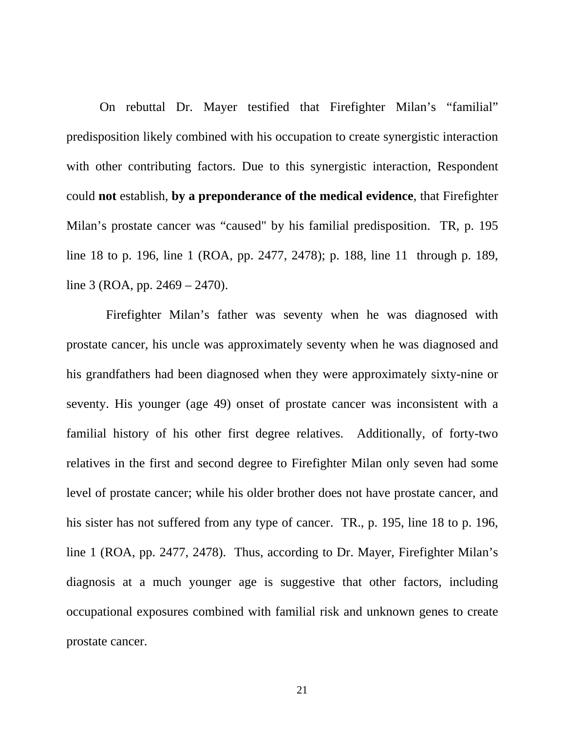On rebuttal Dr. Mayer testified that Firefighter Milan's "familial" predisposition likely combined with his occupation to create synergistic interaction with other contributing factors. Due to this synergistic interaction, Respondent could **not** establish, **by a preponderance of the medical evidence**, that Firefighter Milan's prostate cancer was "caused" by his familial predisposition. TR, p. 195 line 18 to p. 196, line 1 (ROA, pp. 2477, 2478); p. 188, line 11 through p. 189, line 3 (ROA, pp. 2469 – 2470).

 Firefighter Milan's father was seventy when he was diagnosed with prostate cancer, his uncle was approximately seventy when he was diagnosed and his grandfathers had been diagnosed when they were approximately sixty-nine or seventy. His younger (age 49) onset of prostate cancer was inconsistent with a familial history of his other first degree relatives. Additionally, of forty-two relatives in the first and second degree to Firefighter Milan only seven had some level of prostate cancer; while his older brother does not have prostate cancer, and his sister has not suffered from any type of cancer. TR., p. 195, line 18 to p. 196, line 1 (ROA, pp. 2477, 2478). Thus, according to Dr. Mayer, Firefighter Milan's diagnosis at a much younger age is suggestive that other factors, including occupational exposures combined with familial risk and unknown genes to create prostate cancer.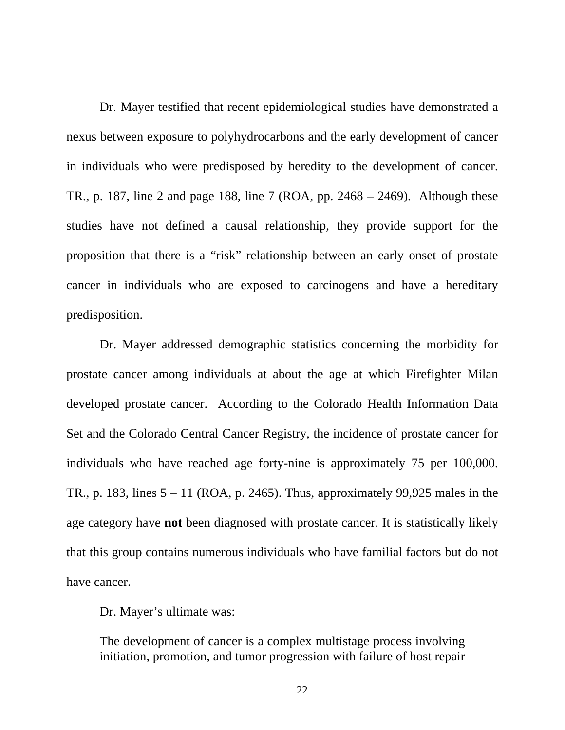Dr. Mayer testified that recent epidemiological studies have demonstrated a nexus between exposure to polyhydrocarbons and the early development of cancer in individuals who were predisposed by heredity to the development of cancer. TR., p. 187, line 2 and page 188, line 7 (ROA, pp. 2468 – 2469). Although these studies have not defined a causal relationship, they provide support for the proposition that there is a "risk" relationship between an early onset of prostate cancer in individuals who are exposed to carcinogens and have a hereditary predisposition.

 Dr. Mayer addressed demographic statistics concerning the morbidity for prostate cancer among individuals at about the age at which Firefighter Milan developed prostate cancer. According to the Colorado Health Information Data Set and the Colorado Central Cancer Registry, the incidence of prostate cancer for individuals who have reached age forty-nine is approximately 75 per 100,000. TR., p. 183, lines  $5 - 11$  (ROA, p. 2465). Thus, approximately 99,925 males in the age category have **not** been diagnosed with prostate cancer. It is statistically likely that this group contains numerous individuals who have familial factors but do not have cancer.

Dr. Mayer's ultimate was:

The development of cancer is a complex multistage process involving initiation, promotion, and tumor progression with failure of host repair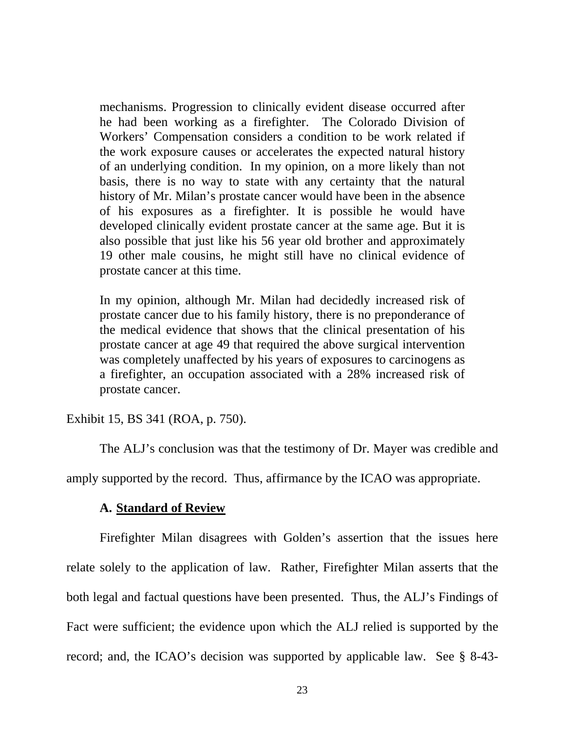mechanisms. Progression to clinically evident disease occurred after he had been working as a firefighter. The Colorado Division of Workers' Compensation considers a condition to be work related if the work exposure causes or accelerates the expected natural history of an underlying condition. In my opinion, on a more likely than not basis, there is no way to state with any certainty that the natural history of Mr. Milan's prostate cancer would have been in the absence of his exposures as a firefighter. It is possible he would have developed clinically evident prostate cancer at the same age. But it is also possible that just like his 56 year old brother and approximately 19 other male cousins, he might still have no clinical evidence of prostate cancer at this time.

In my opinion, although Mr. Milan had decidedly increased risk of prostate cancer due to his family history, there is no preponderance of the medical evidence that shows that the clinical presentation of his prostate cancer at age 49 that required the above surgical intervention was completely unaffected by his years of exposures to carcinogens as a firefighter, an occupation associated with a 28% increased risk of prostate cancer.

Exhibit 15, BS 341 (ROA, p. 750).

The ALJ's conclusion was that the testimony of Dr. Mayer was credible and

amply supported by the record. Thus, affirmance by the ICAO was appropriate.

#### **A. Standard of Review**

Firefighter Milan disagrees with Golden's assertion that the issues here relate solely to the application of law. Rather, Firefighter Milan asserts that the both legal and factual questions have been presented. Thus, the ALJ's Findings of Fact were sufficient; the evidence upon which the ALJ relied is supported by the record; and, the ICAO's decision was supported by applicable law. See § 8-43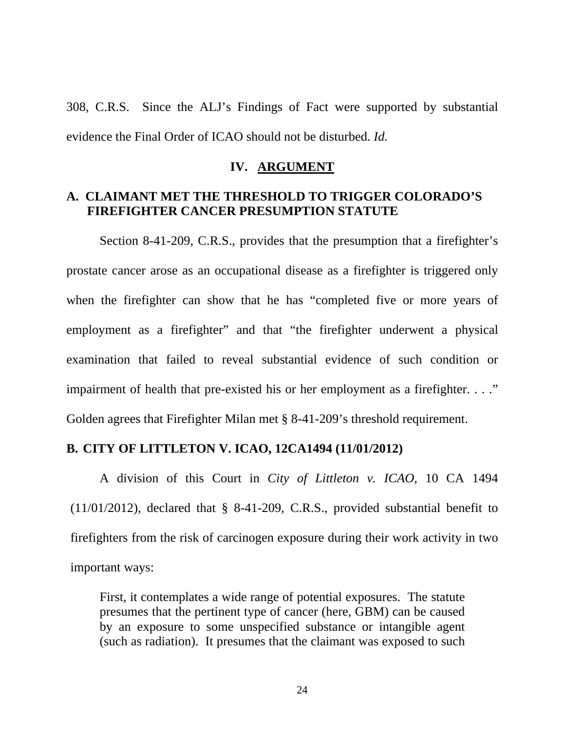308, C.R.S. Since the ALJ's Findings of Fact were supported by substantial evidence the Final Order of ICAO should not be disturbed. *Id.*

#### **IV. ARGUMENT**

### **A. CLAIMANT MET THE THRESHOLD TO TRIGGER COLORADO'S FIREFIGHTER CANCER PRESUMPTION STATUTE**

Section 8-41-209, C.R.S., provides that the presumption that a firefighter's prostate cancer arose as an occupational disease as a firefighter is triggered only when the firefighter can show that he has "completed five or more years of employment as a firefighter" and that "the firefighter underwent a physical examination that failed to reveal substantial evidence of such condition or impairment of health that pre-existed his or her employment as a firefighter. . . ." Golden agrees that Firefighter Milan met § 8-41-209's threshold requirement.

### **B. CITY OF LITTLETON V. ICAO, 12CA1494 (11/01/2012)**

A division of this Court in *City of Littleton v. ICAO,* 10 CA 1494 (11/01/2012)*,* declared that § 8-41-209, C.R.S., provided substantial benefit to firefighters from the risk of carcinogen exposure during their work activity in two important ways:

First, it contemplates a wide range of potential exposures. The statute presumes that the pertinent type of cancer (here, GBM) can be caused by an exposure to some unspecified substance or intangible agent (such as radiation). It presumes that the claimant was exposed to such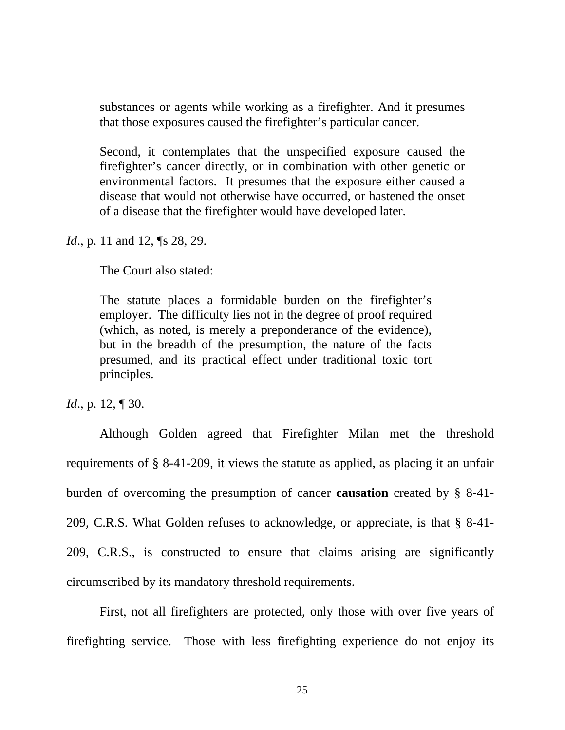substances or agents while working as a firefighter. And it presumes that those exposures caused the firefighter's particular cancer.

Second, it contemplates that the unspecified exposure caused the firefighter's cancer directly, or in combination with other genetic or environmental factors. It presumes that the exposure either caused a disease that would not otherwise have occurred, or hastened the onset of a disease that the firefighter would have developed later.

*Id.*, p. 11 and 12, **[S** 28, 29.

The Court also stated:

The statute places a formidable burden on the firefighter's employer. The difficulty lies not in the degree of proof required (which, as noted, is merely a preponderance of the evidence), but in the breadth of the presumption, the nature of the facts presumed, and its practical effect under traditional toxic tort principles.

*Id.*, p. 12, ¶ 30.

Although Golden agreed that Firefighter Milan met the threshold requirements of § 8-41-209, it views the statute as applied, as placing it an unfair burden of overcoming the presumption of cancer **causation** created by § 8-41- 209, C.R.S. What Golden refuses to acknowledge, or appreciate, is that § 8-41- 209, C.R.S., is constructed to ensure that claims arising are significantly circumscribed by its mandatory threshold requirements.

First, not all firefighters are protected, only those with over five years of firefighting service. Those with less firefighting experience do not enjoy its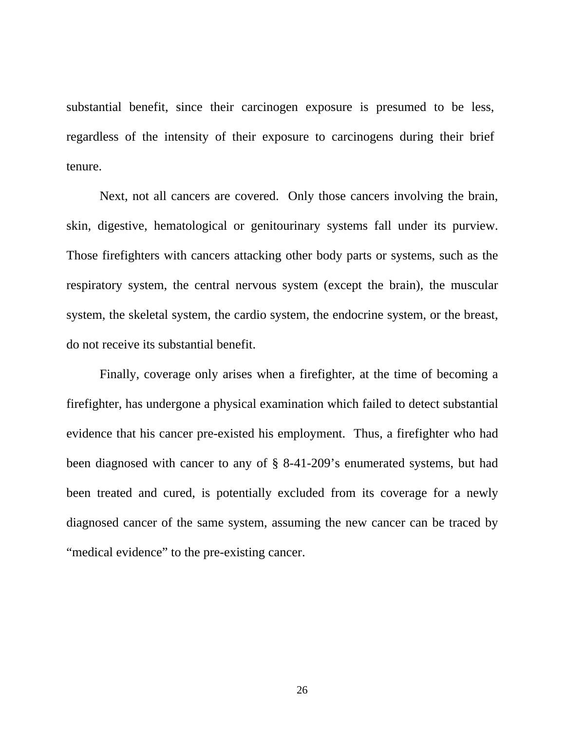substantial benefit, since their carcinogen exposure is presumed to be less, regardless of the intensity of their exposure to carcinogens during their brief tenure.

Next, not all cancers are covered. Only those cancers involving the brain, skin, digestive, hematological or genitourinary systems fall under its purview. Those firefighters with cancers attacking other body parts or systems, such as the respiratory system, the central nervous system (except the brain), the muscular system, the skeletal system, the cardio system, the endocrine system, or the breast, do not receive its substantial benefit.

Finally, coverage only arises when a firefighter, at the time of becoming a firefighter, has undergone a physical examination which failed to detect substantial evidence that his cancer pre-existed his employment. Thus, a firefighter who had been diagnosed with cancer to any of § 8-41-209's enumerated systems, but had been treated and cured, is potentially excluded from its coverage for a newly diagnosed cancer of the same system, assuming the new cancer can be traced by "medical evidence" to the pre-existing cancer.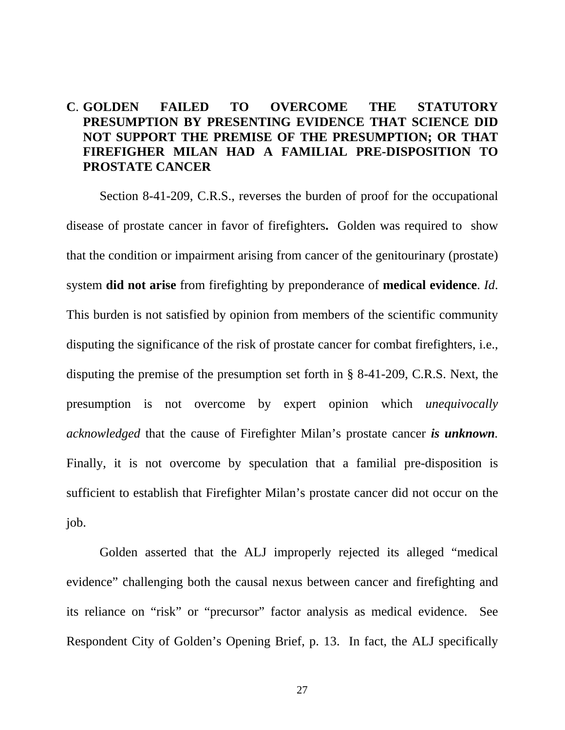# **C**. **GOLDEN FAILED TO OVERCOME THE STATUTORY PRESUMPTION BY PRESENTING EVIDENCE THAT SCIENCE DID NOT SUPPORT THE PREMISE OF THE PRESUMPTION; OR THAT FIREFIGHER MILAN HAD A FAMILIAL PRE-DISPOSITION TO PROSTATE CANCER**

 Section 8-41-209, C.R.S., reverses the burden of proof for the occupational disease of prostate cancer in favor of firefighters**.** Golden was required to show that the condition or impairment arising from cancer of the genitourinary (prostate) system **did not arise** from firefighting by preponderance of **medical evidence**. *Id*. This burden is not satisfied by opinion from members of the scientific community disputing the significance of the risk of prostate cancer for combat firefighters, i.e., disputing the premise of the presumption set forth in § 8-41-209, C.R.S. Next, the presumption is not overcome by expert opinion which *unequivocally acknowledged* that the cause of Firefighter Milan's prostate cancer *is unknown.*  Finally, it is not overcome by speculation that a familial pre-disposition is sufficient to establish that Firefighter Milan's prostate cancer did not occur on the job.

Golden asserted that the ALJ improperly rejected its alleged "medical evidence" challenging both the causal nexus between cancer and firefighting and its reliance on "risk" or "precursor" factor analysis as medical evidence. See Respondent City of Golden's Opening Brief, p. 13. In fact, the ALJ specifically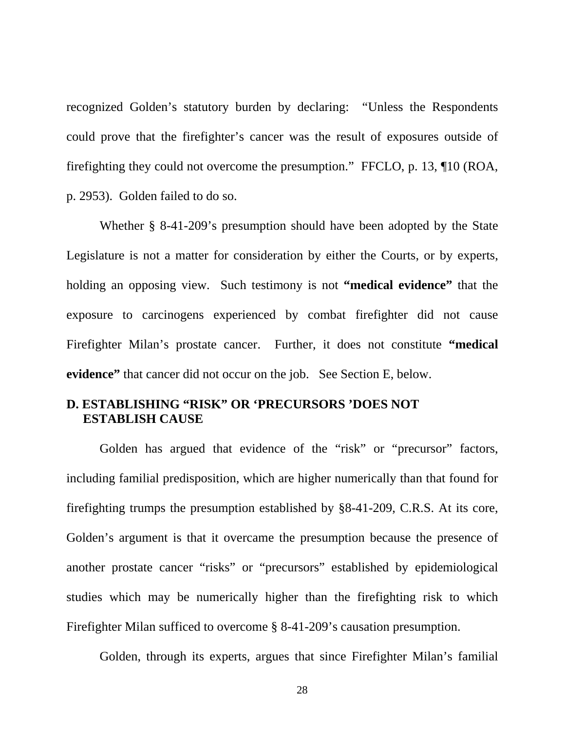recognized Golden's statutory burden by declaring: "Unless the Respondents could prove that the firefighter's cancer was the result of exposures outside of firefighting they could not overcome the presumption." FFCLO, p. 13, ¶10 (ROA, p. 2953). Golden failed to do so.

 Whether § 8-41-209's presumption should have been adopted by the State Legislature is not a matter for consideration by either the Courts, or by experts, holding an opposing view. Such testimony is not **"medical evidence"** that the exposure to carcinogens experienced by combat firefighter did not cause Firefighter Milan's prostate cancer. Further, it does not constitute **"medical evidence"** that cancer did not occur on the job. See Section E, below.

#### **D. ESTABLISHING "RISK" OR 'PRECURSORS 'DOES NOT ESTABLISH CAUSE**

Golden has argued that evidence of the "risk" or "precursor" factors, including familial predisposition, which are higher numerically than that found for firefighting trumps the presumption established by §8-41-209, C.R.S. At its core, Golden's argument is that it overcame the presumption because the presence of another prostate cancer "risks" or "precursors" established by epidemiological studies which may be numerically higher than the firefighting risk to which Firefighter Milan sufficed to overcome § 8-41-209's causation presumption.

Golden, through its experts, argues that since Firefighter Milan's familial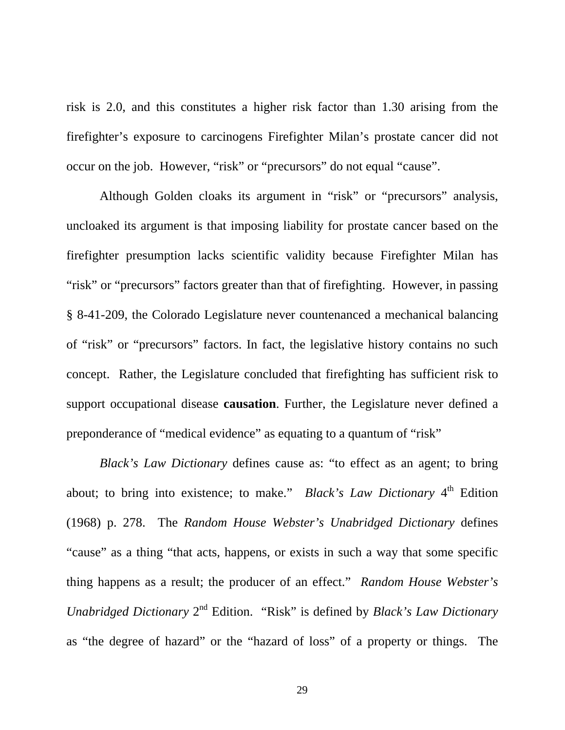risk is 2.0, and this constitutes a higher risk factor than 1.30 arising from the firefighter's exposure to carcinogens Firefighter Milan's prostate cancer did not occur on the job. However, "risk" or "precursors" do not equal "cause".

Although Golden cloaks its argument in "risk" or "precursors" analysis, uncloaked its argument is that imposing liability for prostate cancer based on the firefighter presumption lacks scientific validity because Firefighter Milan has "risk" or "precursors" factors greater than that of firefighting. However, in passing § 8-41-209, the Colorado Legislature never countenanced a mechanical balancing of "risk" or "precursors" factors. In fact, the legislative history contains no such concept. Rather, the Legislature concluded that firefighting has sufficient risk to support occupational disease **causation**. Further, the Legislature never defined a preponderance of "medical evidence" as equating to a quantum of "risk"

*Black's Law Dictionary* defines cause as: "to effect as an agent; to bring about; to bring into existence; to make." *Black's Law Dictionary* 4<sup>th</sup> Edition (1968) p. 278. The *Random House Webster's Unabridged Dictionary* defines "cause" as a thing "that acts, happens, or exists in such a way that some specific thing happens as a result; the producer of an effect." *Random House Webster's Unabridged Dictionary* 2<sup>nd</sup> Edition. "Risk" is defined by *Black's Law Dictionary* as "the degree of hazard" or the "hazard of loss" of a property or things. The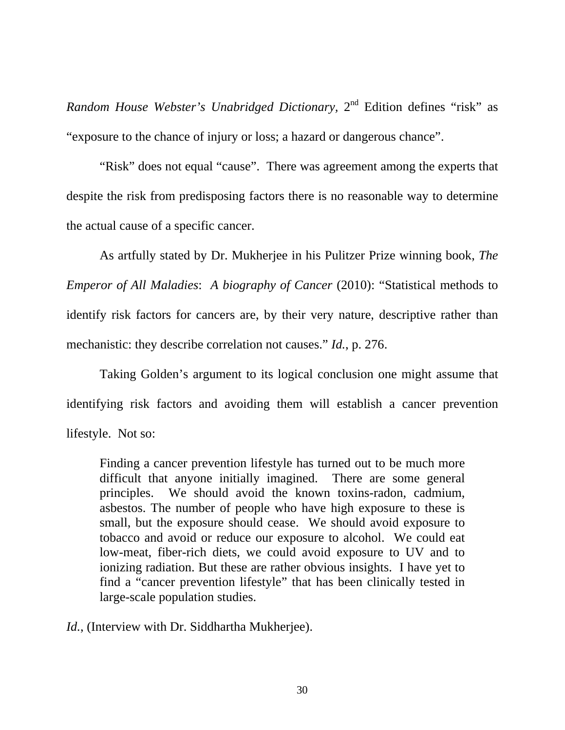*Random House Webster's Unabridged Dictionary,* 2<sup>nd</sup> Edition defines "risk" as "exposure to the chance of injury or loss; a hazard or dangerous chance".

"Risk" does not equal "cause". There was agreement among the experts that despite the risk from predisposing factors there is no reasonable way to determine the actual cause of a specific cancer.

As artfully stated by Dr. Mukherjee in his Pulitzer Prize winning book, *The Emperor of All Maladies*: *A biography of Cancer* (2010): "Statistical methods to identify risk factors for cancers are, by their very nature, descriptive rather than mechanistic: they describe correlation not causes." *Id.*, p. 276.

Taking Golden's argument to its logical conclusion one might assume that identifying risk factors and avoiding them will establish a cancer prevention lifestyle. Not so:

Finding a cancer prevention lifestyle has turned out to be much more difficult that anyone initially imagined. There are some general principles. We should avoid the known toxins-radon, cadmium, asbestos. The number of people who have high exposure to these is small, but the exposure should cease. We should avoid exposure to tobacco and avoid or reduce our exposure to alcohol. We could eat low-meat, fiber-rich diets, we could avoid exposure to UV and to ionizing radiation. But these are rather obvious insights. I have yet to find a "cancer prevention lifestyle" that has been clinically tested in large-scale population studies.

*Id.*, (Interview with Dr. Siddhartha Mukherjee).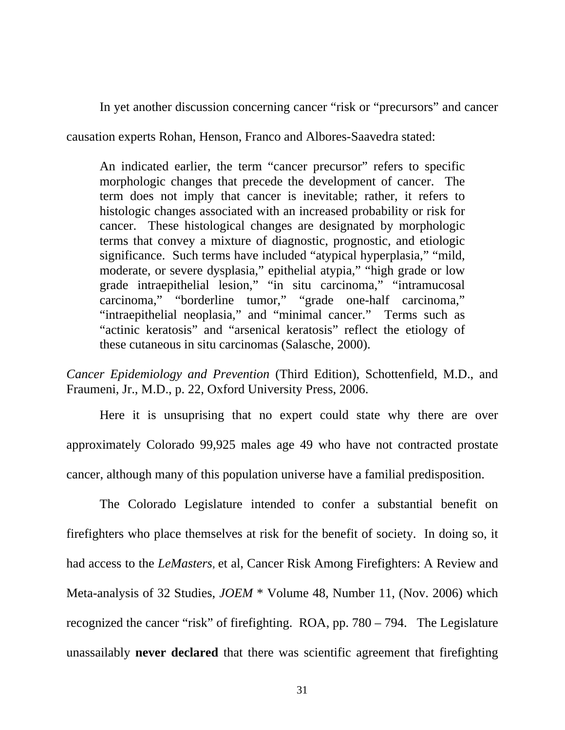In yet another discussion concerning cancer "risk or "precursors" and cancer

causation experts Rohan, Henson, Franco and Albores-Saavedra stated:

An indicated earlier, the term "cancer precursor" refers to specific morphologic changes that precede the development of cancer. The term does not imply that cancer is inevitable; rather, it refers to histologic changes associated with an increased probability or risk for cancer. These histological changes are designated by morphologic terms that convey a mixture of diagnostic, prognostic, and etiologic significance. Such terms have included "atypical hyperplasia," "mild, moderate, or severe dysplasia," epithelial atypia," "high grade or low grade intraepithelial lesion," "in situ carcinoma," "intramucosal carcinoma," "borderline tumor," "grade one-half carcinoma," "intraepithelial neoplasia," and "minimal cancer." Terms such as "actinic keratosis" and "arsenical keratosis" reflect the etiology of these cutaneous in situ carcinomas (Salasche, 2000).

*Cancer Epidemiology and Prevention* (Third Edition), Schottenfield, M.D., and Fraumeni, Jr., M.D., p. 22, Oxford University Press, 2006.

Here it is unsuprising that no expert could state why there are over approximately Colorado 99,925 males age 49 who have not contracted prostate cancer, although many of this population universe have a familial predisposition.

The Colorado Legislature intended to confer a substantial benefit on firefighters who place themselves at risk for the benefit of society. In doing so, it had access to the *LeMasters,* et al, Cancer Risk Among Firefighters: A Review and Meta-analysis of 32 Studies, *JOEM* \* Volume 48, Number 11, (Nov. 2006) which recognized the cancer "risk" of firefighting. ROA, pp. 780 – 794. The Legislature unassailably **never declared** that there was scientific agreement that firefighting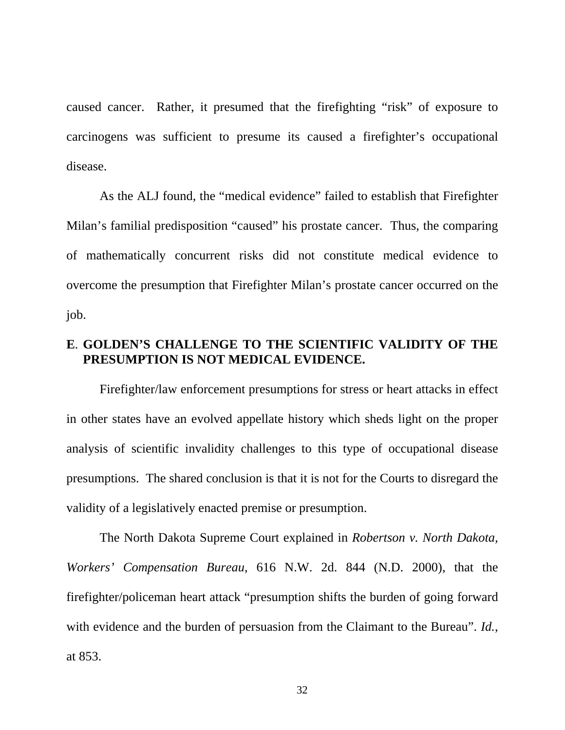caused cancer. Rather, it presumed that the firefighting "risk" of exposure to carcinogens was sufficient to presume its caused a firefighter's occupational disease.

As the ALJ found, the "medical evidence" failed to establish that Firefighter Milan's familial predisposition "caused" his prostate cancer. Thus, the comparing of mathematically concurrent risks did not constitute medical evidence to overcome the presumption that Firefighter Milan's prostate cancer occurred on the job.

### **E**. **GOLDEN'S CHALLENGE TO THE SCIENTIFIC VALIDITY OF THE PRESUMPTION IS NOT MEDICAL EVIDENCE.**

 Firefighter/law enforcement presumptions for stress or heart attacks in effect in other states have an evolved appellate history which sheds light on the proper analysis of scientific invalidity challenges to this type of occupational disease presumptions. The shared conclusion is that it is not for the Courts to disregard the validity of a legislatively enacted premise or presumption.

 The North Dakota Supreme Court explained in *Robertson v. North Dakota, Workers' Compensation Bureau*, 616 N.W. 2d. 844 (N.D. 2000), that the firefighter/policeman heart attack "presumption shifts the burden of going forward with evidence and the burden of persuasion from the Claimant to the Bureau". *Id.*, at 853.

32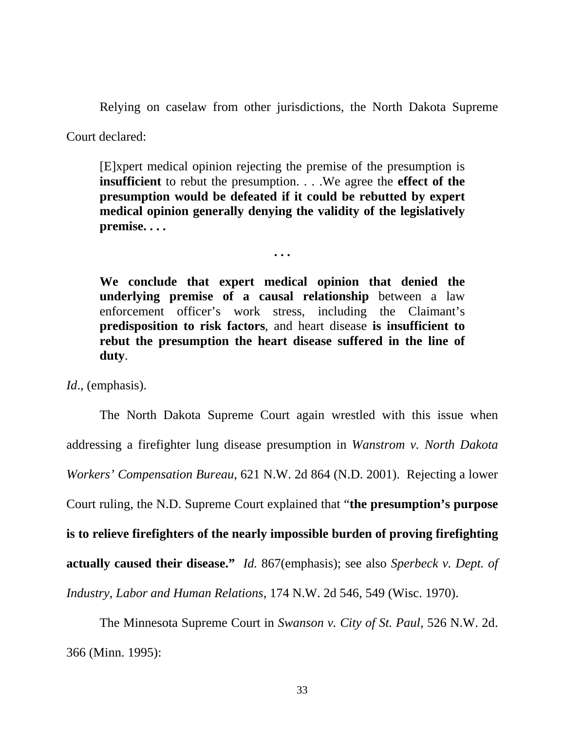Relying on caselaw from other jurisdictions, the North Dakota Supreme

Court declared:

[E]xpert medical opinion rejecting the premise of the presumption is **insufficient** to rebut the presumption. . . .We agree the **effect of the presumption would be defeated if it could be rebutted by expert medical opinion generally denying the validity of the legislatively premise. . . .** 

**. . .** 

**We conclude that expert medical opinion that denied the underlying premise of a causal relationship** between a law enforcement officer's work stress, including the Claimant's **predisposition to risk factors**, and heart disease **is insufficient to rebut the presumption the heart disease suffered in the line of duty**.

*Id*., (emphasis).

 The North Dakota Supreme Court again wrestled with this issue when addressing a firefighter lung disease presumption in *Wanstrom v. North Dakota Workers' Compensation Bureau*, 621 N.W. 2d 864 (N.D. 2001). Rejecting a lower Court ruling, the N.D. Supreme Court explained that "**the presumption's purpose is to relieve firefighters of the nearly impossible burden of proving firefighting actually caused their disease."** *Id.* 867(emphasis); see also *Sperbeck v. Dept. of Industry, Labor and Human Relations*, 174 N.W. 2d 546, 549 (Wisc. 1970).

The Minnesota Supreme Court in *Swanson v. City of St. Paul,* 526 N.W. 2d. 366 (Minn. 1995):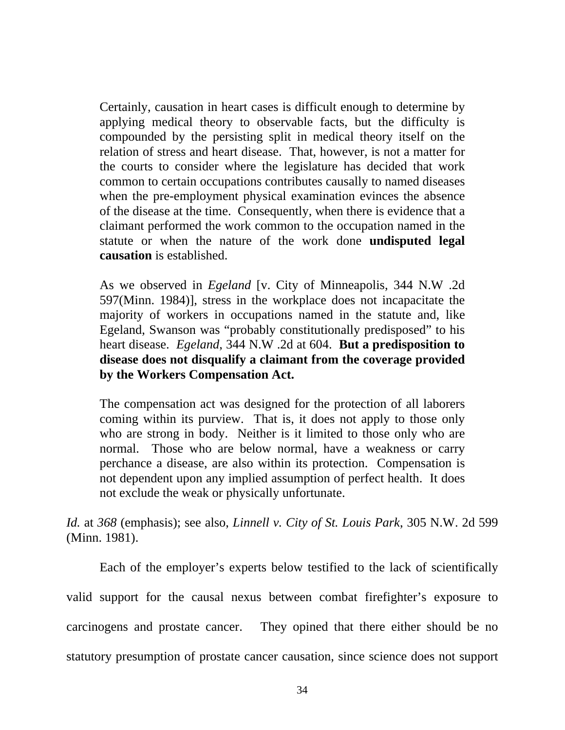Certainly, causation in heart cases is difficult enough to determine by applying medical theory to observable facts, but the difficulty is compounded by the persisting split in medical theory itself on the relation of stress and heart disease. That, however, is not a matter for the courts to consider where the legislature has decided that work common to certain occupations contributes causally to named diseases when the pre-employment physical examination evinces the absence of the disease at the time. Consequently, when there is evidence that a claimant performed the work common to the occupation named in the statute or when the nature of the work done **undisputed legal causation** is established.

As we observed in *Egeland* [v. City of Minneapolis, 344 N.W .2d 597(Minn. 1984)], stress in the workplace does not incapacitate the majority of workers in occupations named in the statute and, like Egeland, Swanson was "probably constitutionally predisposed" to his heart disease. *Egeland*, 344 N.W .2d at 604. **But a predisposition to disease does not disqualify a claimant from the coverage provided by the Workers Compensation Act.** 

The compensation act was designed for the protection of all laborers coming within its purview. That is, it does not apply to those only who are strong in body. Neither is it limited to those only who are normal. Those who are below normal, have a weakness or carry perchance a disease, are also within its protection. Compensation is not dependent upon any implied assumption of perfect health. It does not exclude the weak or physically unfortunate.

*Id.* at *368* (emphasis); see also, *Linnell v. City of St. Louis Park*, 305 N.W. 2d 599 (Minn. 1981).

Each of the employer's experts below testified to the lack of scientifically valid support for the causal nexus between combat firefighter's exposure to carcinogens and prostate cancer. They opined that there either should be no statutory presumption of prostate cancer causation, since science does not support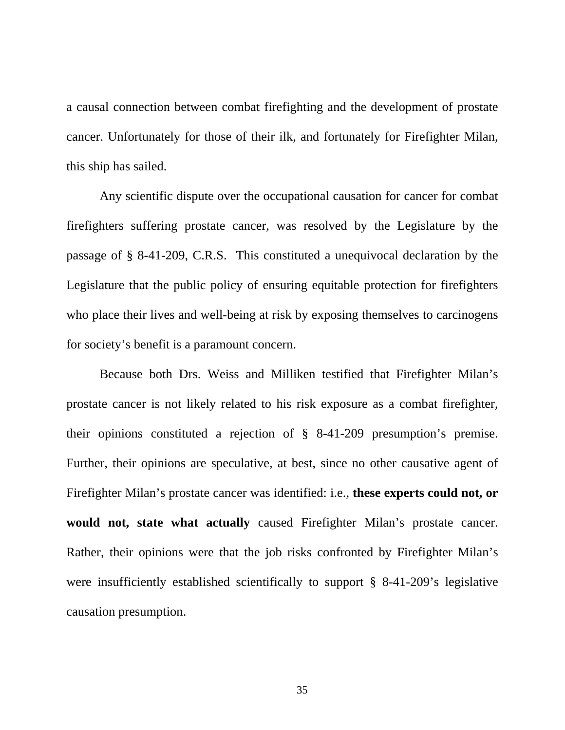a causal connection between combat firefighting and the development of prostate cancer. Unfortunately for those of their ilk, and fortunately for Firefighter Milan, this ship has sailed.

 Any scientific dispute over the occupational causation for cancer for combat firefighters suffering prostate cancer, was resolved by the Legislature by the passage of § 8-41-209, C.R.S. This constituted a unequivocal declaration by the Legislature that the public policy of ensuring equitable protection for firefighters who place their lives and well-being at risk by exposing themselves to carcinogens for society's benefit is a paramount concern.

Because both Drs. Weiss and Milliken testified that Firefighter Milan's prostate cancer is not likely related to his risk exposure as a combat firefighter, their opinions constituted a rejection of § 8-41-209 presumption's premise. Further, their opinions are speculative, at best, since no other causative agent of Firefighter Milan's prostate cancer was identified: i.e., **these experts could not, or would not, state what actually** caused Firefighter Milan's prostate cancer. Rather, their opinions were that the job risks confronted by Firefighter Milan's were insufficiently established scientifically to support § 8-41-209's legislative causation presumption.

35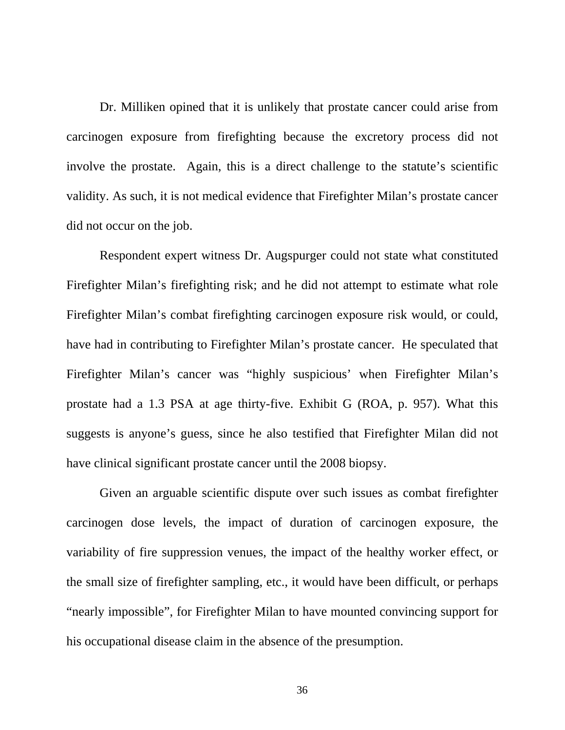Dr. Milliken opined that it is unlikely that prostate cancer could arise from carcinogen exposure from firefighting because the excretory process did not involve the prostate. Again, this is a direct challenge to the statute's scientific validity. As such, it is not medical evidence that Firefighter Milan's prostate cancer did not occur on the job.

Respondent expert witness Dr. Augspurger could not state what constituted Firefighter Milan's firefighting risk; and he did not attempt to estimate what role Firefighter Milan's combat firefighting carcinogen exposure risk would, or could, have had in contributing to Firefighter Milan's prostate cancer. He speculated that Firefighter Milan's cancer was "highly suspicious' when Firefighter Milan's prostate had a 1.3 PSA at age thirty-five. Exhibit G (ROA, p. 957). What this suggests is anyone's guess, since he also testified that Firefighter Milan did not have clinical significant prostate cancer until the 2008 biopsy.

Given an arguable scientific dispute over such issues as combat firefighter carcinogen dose levels, the impact of duration of carcinogen exposure, the variability of fire suppression venues, the impact of the healthy worker effect, or the small size of firefighter sampling, etc., it would have been difficult, or perhaps "nearly impossible", for Firefighter Milan to have mounted convincing support for his occupational disease claim in the absence of the presumption.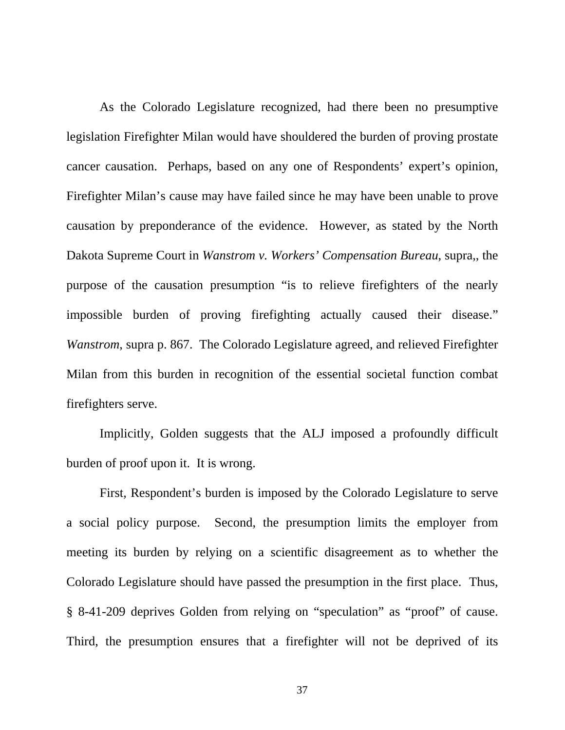As the Colorado Legislature recognized, had there been no presumptive legislation Firefighter Milan would have shouldered the burden of proving prostate cancer causation. Perhaps, based on any one of Respondents' expert's opinion, Firefighter Milan's cause may have failed since he may have been unable to prove causation by preponderance of the evidence. However, as stated by the North Dakota Supreme Court in *Wanstrom v. Workers' Compensation Bureau*, supra,, the purpose of the causation presumption "is to relieve firefighters of the nearly impossible burden of proving firefighting actually caused their disease." *Wanstrom*, supra p. 867. The Colorado Legislature agreed, and relieved Firefighter Milan from this burden in recognition of the essential societal function combat firefighters serve.

Implicitly, Golden suggests that the ALJ imposed a profoundly difficult burden of proof upon it. It is wrong.

First, Respondent's burden is imposed by the Colorado Legislature to serve a social policy purpose. Second, the presumption limits the employer from meeting its burden by relying on a scientific disagreement as to whether the Colorado Legislature should have passed the presumption in the first place. Thus, § 8-41-209 deprives Golden from relying on "speculation" as "proof" of cause. Third, the presumption ensures that a firefighter will not be deprived of its

37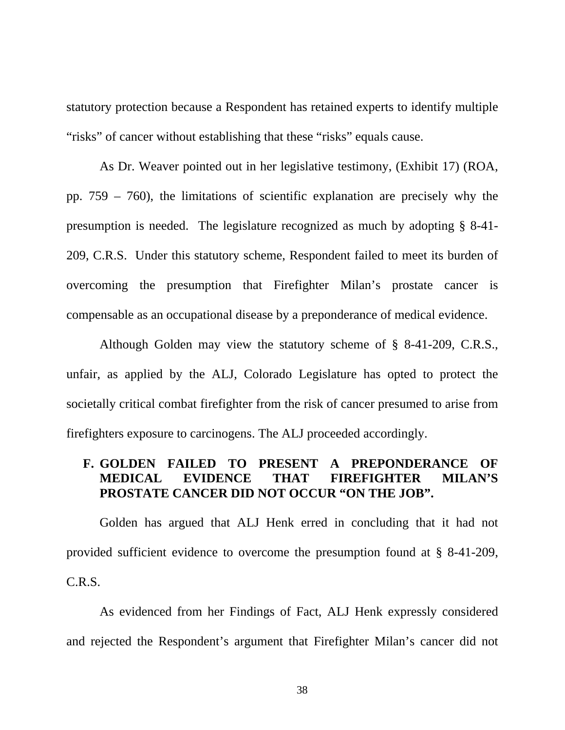statutory protection because a Respondent has retained experts to identify multiple "risks" of cancer without establishing that these "risks" equals cause.

As Dr. Weaver pointed out in her legislative testimony, (Exhibit 17) (ROA, pp. 759 – 760), the limitations of scientific explanation are precisely why the presumption is needed. The legislature recognized as much by adopting § 8-41- 209, C.R.S. Under this statutory scheme, Respondent failed to meet its burden of overcoming the presumption that Firefighter Milan's prostate cancer is compensable as an occupational disease by a preponderance of medical evidence.

Although Golden may view the statutory scheme of § 8-41-209, C.R.S., unfair, as applied by the ALJ, Colorado Legislature has opted to protect the societally critical combat firefighter from the risk of cancer presumed to arise from firefighters exposure to carcinogens. The ALJ proceeded accordingly.

## **F. GOLDEN FAILED TO PRESENT A PREPONDERANCE OF MEDICAL EVIDENCE THAT FIREFIGHTER MILAN'S PROSTATE CANCER DID NOT OCCUR "ON THE JOB".**

 Golden has argued that ALJ Henk erred in concluding that it had not provided sufficient evidence to overcome the presumption found at § 8-41-209, C.R.S.

 As evidenced from her Findings of Fact, ALJ Henk expressly considered and rejected the Respondent's argument that Firefighter Milan's cancer did not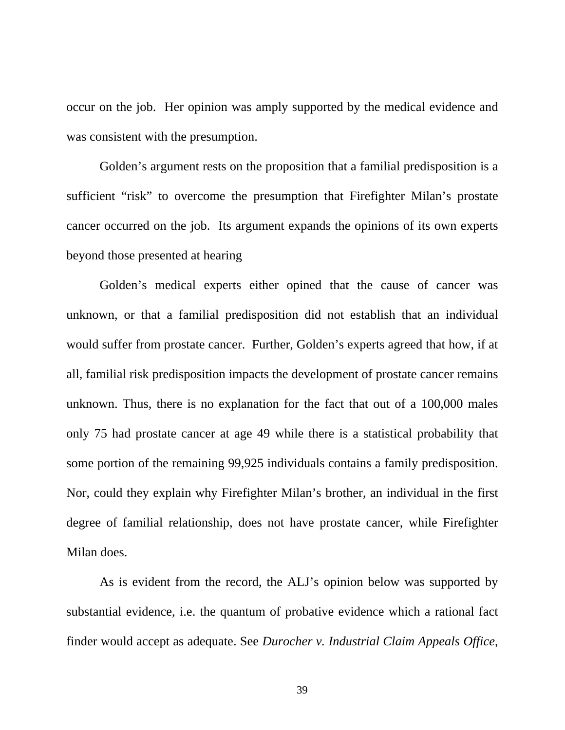occur on the job. Her opinion was amply supported by the medical evidence and was consistent with the presumption.

 Golden's argument rests on the proposition that a familial predisposition is a sufficient "risk" to overcome the presumption that Firefighter Milan's prostate cancer occurred on the job. Its argument expands the opinions of its own experts beyond those presented at hearing

Golden's medical experts either opined that the cause of cancer was unknown, or that a familial predisposition did not establish that an individual would suffer from prostate cancer. Further, Golden's experts agreed that how, if at all, familial risk predisposition impacts the development of prostate cancer remains unknown. Thus, there is no explanation for the fact that out of a 100,000 males only 75 had prostate cancer at age 49 while there is a statistical probability that some portion of the remaining 99,925 individuals contains a family predisposition. Nor, could they explain why Firefighter Milan's brother, an individual in the first degree of familial relationship, does not have prostate cancer, while Firefighter Milan does.

 As is evident from the record, the ALJ's opinion below was supported by substantial evidence, i.e. the quantum of probative evidence which a rational fact finder would accept as adequate. See *Durocher v. Industrial Claim Appeals Office*,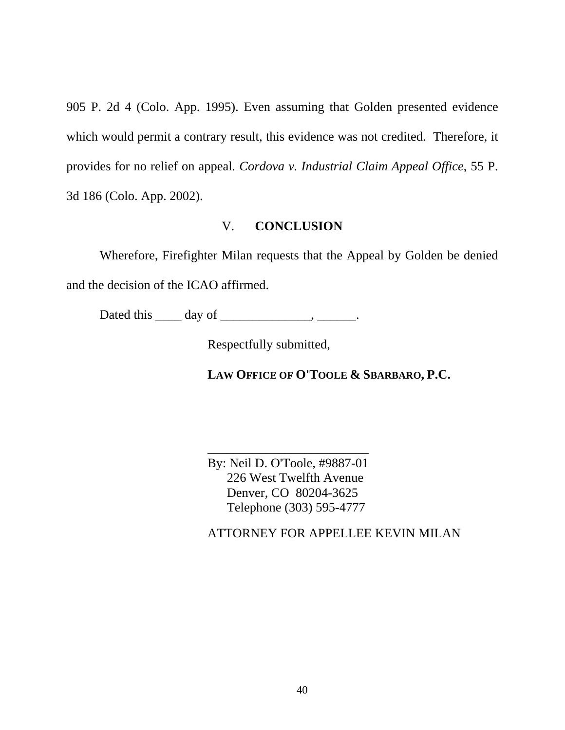905 P. 2d 4 (Colo. App. 1995). Even assuming that Golden presented evidence which would permit a contrary result, this evidence was not credited. Therefore, it provides for no relief on appeal*. Cordova v. Industrial Claim Appeal Office*, 55 P. 3d 186 (Colo. App. 2002).

#### V. **CONCLUSION**

Wherefore, Firefighter Milan requests that the Appeal by Golden be denied and the decision of the ICAO affirmed.

Dated this \_\_\_\_\_ day of \_\_\_\_\_\_\_\_\_\_\_\_\_\_\_, \_\_\_\_\_\_\_.

Respectfully submitted,

**LAW OFFICE OF O'TOOLE & SBARBARO, P.C.**

By: Neil D. O'Toole, #9887-01 226 West Twelfth Avenue Denver, CO 80204-3625 Telephone (303) 595-4777

\_\_\_\_\_\_\_\_\_\_\_\_\_\_\_\_\_\_\_\_\_\_\_\_\_

ATTORNEY FOR APPELLEE KEVIN MILAN